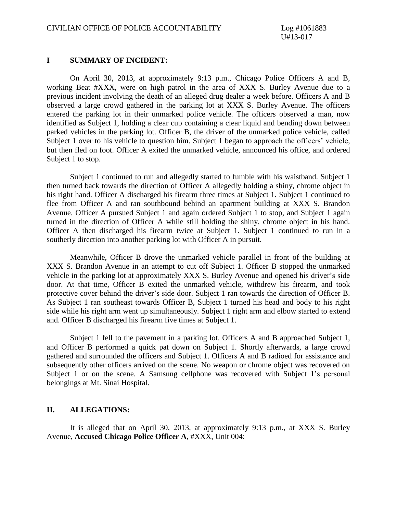#### **I SUMMARY OF INCIDENT:**

On April 30, 2013, at approximately 9:13 p.m., Chicago Police Officers A and B, working Beat #XXX, were on high patrol in the area of XXX S. Burley Avenue due to a previous incident involving the death of an alleged drug dealer a week before. Officers A and B observed a large crowd gathered in the parking lot at XXX S. Burley Avenue. The officers entered the parking lot in their unmarked police vehicle. The officers observed a man, now identified as Subject 1, holding a clear cup containing a clear liquid and bending down between parked vehicles in the parking lot. Officer B, the driver of the unmarked police vehicle, called Subject 1 over to his vehicle to question him. Subject 1 began to approach the officers' vehicle, but then fled on foot. Officer A exited the unmarked vehicle, announced his office, and ordered Subject 1 to stop.

Subject 1 continued to run and allegedly started to fumble with his waistband. Subject 1 then turned back towards the direction of Officer A allegedly holding a shiny, chrome object in his right hand. Officer A discharged his firearm three times at Subject 1. Subject 1 continued to flee from Officer A and ran southbound behind an apartment building at XXX S. Brandon Avenue. Officer A pursued Subject 1 and again ordered Subject 1 to stop, and Subject 1 again turned in the direction of Officer A while still holding the shiny, chrome object in his hand. Officer A then discharged his firearm twice at Subject 1. Subject 1 continued to run in a southerly direction into another parking lot with Officer A in pursuit.

Meanwhile, Officer B drove the unmarked vehicle parallel in front of the building at XXX S. Brandon Avenue in an attempt to cut off Subject 1. Officer B stopped the unmarked vehicle in the parking lot at approximately XXX S. Burley Avenue and opened his driver's side door. At that time, Officer B exited the unmarked vehicle, withdrew his firearm, and took protective cover behind the driver's side door. Subject 1 ran towards the direction of Officer B. As Subject 1 ran southeast towards Officer B, Subject 1 turned his head and body to his right side while his right arm went up simultaneously. Subject 1 right arm and elbow started to extend and. Officer B discharged his firearm five times at Subject 1.

Subject 1 fell to the pavement in a parking lot. Officers A and B approached Subject 1, and Officer B performed a quick pat down on Subject 1. Shortly afterwards, a large crowd gathered and surrounded the officers and Subject 1. Officers A and B radioed for assistance and subsequently other officers arrived on the scene. No weapon or chrome object was recovered on Subject 1 or on the scene. A Samsung cellphone was recovered with Subject 1's personal belongings at Mt. Sinai Hospital.

### **II. ALLEGATIONS:**

It is alleged that on April 30, 2013, at approximately 9:13 p.m., at XXX S. Burley Avenue, **Accused Chicago Police Officer A**, #XXX, Unit 004: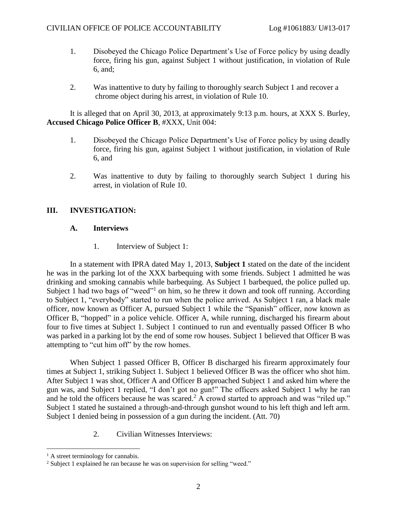- 1. Disobeyed the Chicago Police Department's Use of Force policy by using deadly force, firing his gun, against Subject 1 without justification, in violation of Rule 6, and;
- 2. Was inattentive to duty by failing to thoroughly search Subject 1 and recover a chrome object during his arrest, in violation of Rule 10.

It is alleged that on April 30, 2013, at approximately 9:13 p.m. hours, at XXX S. Burley, **Accused Chicago Police Officer B**, #XXX, Unit 004:

- 1. Disobeyed the Chicago Police Department's Use of Force policy by using deadly force, firing his gun, against Subject 1 without justification, in violation of Rule 6, and
- 2. Was inattentive to duty by failing to thoroughly search Subject 1 during his arrest, in violation of Rule 10.

## **III. INVESTIGATION:**

## **A. Interviews**

1. Interview of Subject 1:

In a statement with IPRA dated May 1, 2013, **Subject 1** stated on the date of the incident he was in the parking lot of the XXX barbequing with some friends. Subject 1 admitted he was drinking and smoking cannabis while barbequing. As Subject 1 barbequed, the police pulled up. Subject 1 had two bags of "weed"<sup>1</sup> on him, so he threw it down and took off running. According to Subject 1, "everybody" started to run when the police arrived. As Subject 1 ran, a black male officer, now known as Officer A, pursued Subject 1 while the "Spanish" officer, now known as Officer B, "hopped" in a police vehicle. Officer A, while running, discharged his firearm about four to five times at Subject 1. Subject 1 continued to run and eventually passed Officer B who was parked in a parking lot by the end of some row houses. Subject 1 believed that Officer B was attempting to "cut him off" by the row homes.

 When Subject 1 passed Officer B, Officer B discharged his firearm approximately four times at Subject 1, striking Subject 1. Subject 1 believed Officer B was the officer who shot him. After Subject 1 was shot, Officer A and Officer B approached Subject 1 and asked him where the gun was, and Subject 1 replied, "I don't got no gun!" The officers asked Subject 1 why he ran and he told the officers because he was scared.<sup>2</sup> A crowd started to approach and was "riled up." Subject 1 stated he sustained a through-and-through gunshot wound to his left thigh and left arm. Subject 1 denied being in possession of a gun during the incident. (Att. 70)

2. Civilian Witnesses Interviews:

 $<sup>1</sup>$  A street terminology for cannabis.</sup>

<sup>&</sup>lt;sup>2</sup> Subject 1 explained he ran because he was on supervision for selling "weed."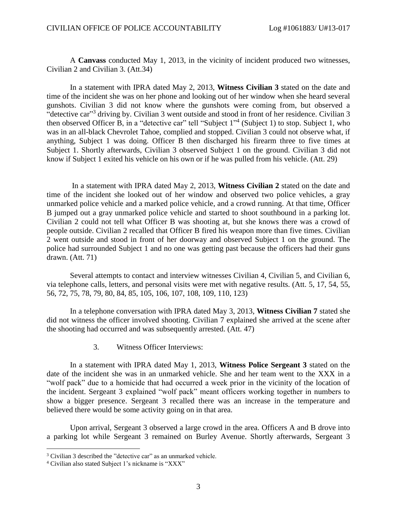A **Canvass** conducted May 1, 2013, in the vicinity of incident produced two witnesses, Civilian 2 and Civilian 3. (Att.34)

In a statement with IPRA dated May 2, 2013, **Witness Civilian 3** stated on the date and time of the incident she was on her phone and looking out of her window when she heard several gunshots. Civilian 3 did not know where the gunshots were coming from, but observed a "detective car"<sup>3</sup> driving by. Civilian 3 went outside and stood in front of her residence. Civilian 3 then observed Officer B, in a "detective car" tell "Subject 1" 4 (Subject 1) to stop. Subject 1, who was in an all-black Chevrolet Tahoe, complied and stopped. Civilian 3 could not observe what, if anything, Subject 1 was doing. Officer B then discharged his firearm three to five times at Subject 1. Shortly afterwards, Civilian 3 observed Subject 1 on the ground. Civilian 3 did not know if Subject 1 exited his vehicle on his own or if he was pulled from his vehicle. (Att. 29)

 In a statement with IPRA dated May 2, 2013, **Witness Civilian 2** stated on the date and time of the incident she looked out of her window and observed two police vehicles, a gray unmarked police vehicle and a marked police vehicle, and a crowd running. At that time, Officer B jumped out a gray unmarked police vehicle and started to shoot southbound in a parking lot. Civilian 2 could not tell what Officer B was shooting at, but she knows there was a crowd of people outside. Civilian 2 recalled that Officer B fired his weapon more than five times. Civilian 2 went outside and stood in front of her doorway and observed Subject 1 on the ground. The police had surrounded Subject 1 and no one was getting past because the officers had their guns drawn. (Att. 71)

Several attempts to contact and interview witnesses Civilian 4, Civilian 5, and Civilian 6, via telephone calls, letters, and personal visits were met with negative results. (Att. 5, 17, 54, 55, 56, 72, 75, 78, 79, 80, 84, 85, 105, 106, 107, 108, 109, 110, 123)

In a telephone conversation with IPRA dated May 3, 2013, **Witness Civilian 7** stated she did not witness the officer involved shooting. Civilian 7 explained she arrived at the scene after the shooting had occurred and was subsequently arrested. (Att. 47)

3. Witness Officer Interviews:

In a statement with IPRA dated May 1, 2013, **Witness Police Sergeant 3** stated on the date of the incident she was in an unmarked vehicle. She and her team went to the XXX in a "wolf pack" due to a homicide that had occurred a week prior in the vicinity of the location of the incident. Sergeant 3 explained "wolf pack" meant officers working together in numbers to show a bigger presence. Sergeant 3 recalled there was an increase in the temperature and believed there would be some activity going on in that area.

Upon arrival, Sergeant 3 observed a large crowd in the area. Officers A and B drove into a parking lot while Sergeant 3 remained on Burley Avenue. Shortly afterwards, Sergeant 3

<sup>&</sup>lt;sup>3</sup> Civilian 3 described the "detective car" as an unmarked vehicle.

<sup>4</sup> Civilian also stated Subject 1's nickname is "XXX"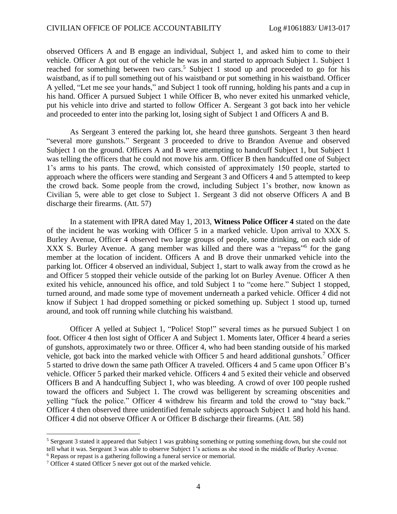observed Officers A and B engage an individual, Subject 1, and asked him to come to their vehicle. Officer A got out of the vehicle he was in and started to approach Subject 1. Subject 1 reached for something between two cars.<sup>5</sup> Subject 1 stood up and proceeded to go for his waistband, as if to pull something out of his waistband or put something in his waistband. Officer A yelled, "Let me see your hands," and Subject 1 took off running, holding his pants and a cup in his hand. Officer A pursued Subject 1 while Officer B, who never exited his unmarked vehicle, put his vehicle into drive and started to follow Officer A. Sergeant 3 got back into her vehicle and proceeded to enter into the parking lot, losing sight of Subject 1 and Officers A and B.

As Sergeant 3 entered the parking lot, she heard three gunshots. Sergeant 3 then heard "several more gunshots." Sergeant 3 proceeded to drive to Brandon Avenue and observed Subject 1 on the ground. Officers A and B were attempting to handcuff Subject 1, but Subject 1 was telling the officers that he could not move his arm. Officer B then handcuffed one of Subject 1's arms to his pants. The crowd, which consisted of approximately 150 people, started to approach where the officers were standing and Sergeant 3 and Officers 4 and 5 attempted to keep the crowd back. Some people from the crowd, including Subject 1's brother, now known as Civilian 5, were able to get close to Subject 1. Sergeant 3 did not observe Officers A and B discharge their firearms. (Att. 57)

In a statement with IPRA dated May 1, 2013, **Witness Police Officer 4** stated on the date of the incident he was working with Officer 5 in a marked vehicle. Upon arrival to XXX S. Burley Avenue, Officer 4 observed two large groups of people, some drinking, on each side of XXX S. Burley Avenue. A gang member was killed and there was a "repass" for the gang member at the location of incident. Officers A and B drove their unmarked vehicle into the parking lot. Officer 4 observed an individual, Subject 1, start to walk away from the crowd as he and Officer 5 stopped their vehicle outside of the parking lot on Burley Avenue. Officer A then exited his vehicle, announced his office, and told Subject 1 to "come here." Subject 1 stopped, turned around, and made some type of movement underneath a parked vehicle. Officer 4 did not know if Subject 1 had dropped something or picked something up. Subject 1 stood up, turned around, and took off running while clutching his waistband.

Officer A yelled at Subject 1, "Police! Stop!" several times as he pursued Subject 1 on foot. Officer 4 then lost sight of Officer A and Subject 1. Moments later, Officer 4 heard a series of gunshots, approximately two or three. Officer 4, who had been standing outside of his marked vehicle, got back into the marked vehicle with Officer 5 and heard additional gunshots.<sup>7</sup> Officer 5 started to drive down the same path Officer A traveled. Officers 4 and 5 came upon Officer B's vehicle. Officer 5 parked their marked vehicle. Officers 4 and 5 exited their vehicle and observed Officers B and A handcuffing Subject 1, who was bleeding. A crowd of over 100 people rushed toward the officers and Subject 1. The crowd was belligerent by screaming obscenities and yelling "fuck the police." Officer 4 withdrew his firearm and told the crowd to "stay back." Officer 4 then observed three unidentified female subjects approach Subject 1 and hold his hand. Officer 4 did not observe Officer A or Officer B discharge their firearms. (Att. 58)

<sup>&</sup>lt;sup>5</sup> Sergeant 3 stated it appeared that Subject 1 was grabbing something or putting something down, but she could not tell what it was. Sergeant 3 was able to observe Subject 1's actions as she stood in the middle of Burley Avenue.

<sup>6</sup> Repass or repast is a gathering following a funeral service or memorial.

<sup>7</sup> Officer 4 stated Officer 5 never got out of the marked vehicle.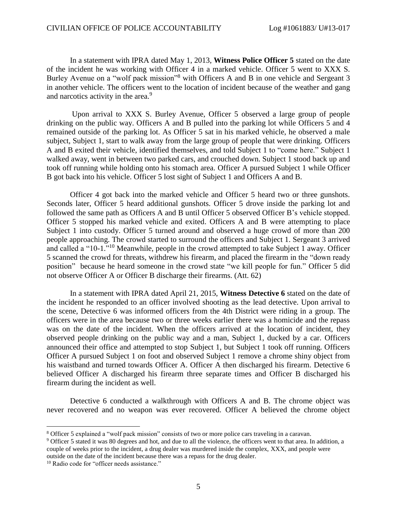In a statement with IPRA dated May 1, 2013, **Witness Police Officer 5** stated on the date of the incident he was working with Officer 4 in a marked vehicle. Officer 5 went to XXX S. Burley Avenue on a "wolf pack mission"<sup>8</sup> with Officers A and B in one vehicle and Sergeant 3 in another vehicle. The officers went to the location of incident because of the weather and gang and narcotics activity in the area.<sup>9</sup>

 Upon arrival to XXX S. Burley Avenue, Officer 5 observed a large group of people drinking on the public way. Officers A and B pulled into the parking lot while Officers 5 and 4 remained outside of the parking lot. As Officer 5 sat in his marked vehicle, he observed a male subject, Subject 1, start to walk away from the large group of people that were drinking. Officers A and B exited their vehicle, identified themselves, and told Subject 1 to "come here." Subject 1 walked away, went in between two parked cars, and crouched down. Subject 1 stood back up and took off running while holding onto his stomach area. Officer A pursued Subject 1 while Officer B got back into his vehicle. Officer 5 lost sight of Subject 1 and Officers A and B.

 Officer 4 got back into the marked vehicle and Officer 5 heard two or three gunshots. Seconds later, Officer 5 heard additional gunshots. Officer 5 drove inside the parking lot and followed the same path as Officers A and B until Officer 5 observed Officer B's vehicle stopped. Officer 5 stopped his marked vehicle and exited. Officers A and B were attempting to place Subject 1 into custody. Officer 5 turned around and observed a huge crowd of more than 200 people approaching. The crowd started to surround the officers and Subject 1. Sergeant 3 arrived and called a "10-1."<sup>10</sup> Meanwhile, people in the crowd attempted to take Subject 1 away. Officer 5 scanned the crowd for threats, withdrew his firearm, and placed the firearm in the "down ready position" because he heard someone in the crowd state "we kill people for fun." Officer 5 did not observe Officer A or Officer B discharge their firearms. (Att. 62)

 In a statement with IPRA dated April 21, 2015, **Witness Detective 6** stated on the date of the incident he responded to an officer involved shooting as the lead detective. Upon arrival to the scene, Detective 6 was informed officers from the 4th District were riding in a group. The officers were in the area because two or three weeks earlier there was a homicide and the repass was on the date of the incident. When the officers arrived at the location of incident, they observed people drinking on the public way and a man, Subject 1, ducked by a car. Officers announced their office and attempted to stop Subject 1, but Subject 1 took off running. Officers Officer A pursued Subject 1 on foot and observed Subject 1 remove a chrome shiny object from his waistband and turned towards Officer A. Officer A then discharged his firearm. Detective 6 believed Officer A discharged his firearm three separate times and Officer B discharged his firearm during the incident as well.

 Detective 6 conducted a walkthrough with Officers A and B. The chrome object was never recovered and no weapon was ever recovered. Officer A believed the chrome object

<sup>8</sup> Officer 5 explained a "wolf pack mission" consists of two or more police cars traveling in a caravan.

<sup>9</sup> Officer 5 stated it was 80 degrees and hot, and due to all the violence, the officers went to that area. In addition, a couple of weeks prior to the incident, a drug dealer was murdered inside the complex, XXX, and people were outside on the date of the incident because there was a repass for the drug dealer.

<sup>&</sup>lt;sup>10</sup> Radio code for "officer needs assistance."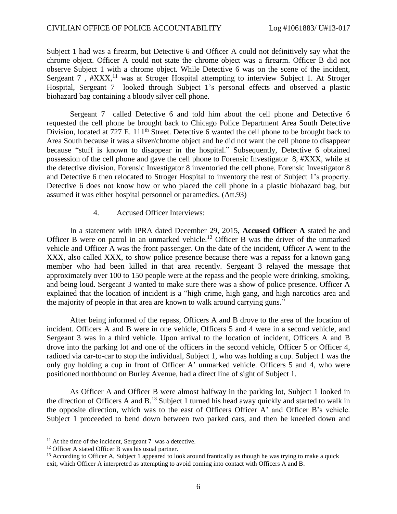Subject 1 had was a firearm, but Detective 6 and Officer A could not definitively say what the chrome object. Officer A could not state the chrome object was a firearm. Officer B did not observe Subject 1 with a chrome object. While Detective 6 was on the scene of the incident, Sergeant 7, #XXX,<sup>11</sup> was at Stroger Hospital attempting to interview Subject 1. At Stroger Hospital, Sergeant 7 looked through Subject 1's personal effects and observed a plastic biohazard bag containing a bloody silver cell phone.

 Sergeant 7 called Detective 6 and told him about the cell phone and Detective 6 requested the cell phone be brought back to Chicago Police Department Area South Detective Division, located at 727 E. 111<sup>th</sup> Street. Detective 6 wanted the cell phone to be brought back to Area South because it was a silver/chrome object and he did not want the cell phone to disappear because "stuff is known to disappear in the hospital." Subsequently, Detective 6 obtained possession of the cell phone and gave the cell phone to Forensic Investigator 8, #XXX, while at the detective division. Forensic Investigator 8 inventoried the cell phone. Forensic Investigator 8 and Detective 6 then relocated to Stroger Hospital to inventory the rest of Subject 1's property. Detective 6 does not know how or who placed the cell phone in a plastic biohazard bag, but assumed it was either hospital personnel or paramedics. (Att.93)

#### 4. Accused Officer Interviews:

 In a statement with IPRA dated December 29, 2015, **Accused Officer A** stated he and Officer B were on patrol in an unmarked vehicle.<sup>12</sup> Officer B was the driver of the unmarked vehicle and Officer A was the front passenger. On the date of the incident, Officer A went to the XXX, also called XXX, to show police presence because there was a repass for a known gang member who had been killed in that area recently. Sergeant 3 relayed the message that approximately over 100 to 150 people were at the repass and the people were drinking, smoking, and being loud. Sergeant 3 wanted to make sure there was a show of police presence. Officer A explained that the location of incident is a "high crime, high gang, and high narcotics area and the majority of people in that area are known to walk around carrying guns."

 After being informed of the repass, Officers A and B drove to the area of the location of incident. Officers A and B were in one vehicle, Officers 5 and 4 were in a second vehicle, and Sergeant 3 was in a third vehicle. Upon arrival to the location of incident, Officers A and B drove into the parking lot and one of the officers in the second vehicle, Officer 5 or Officer 4, radioed via car-to-car to stop the individual, Subject 1, who was holding a cup. Subject 1 was the only guy holding a cup in front of Officer A' unmarked vehicle. Officers 5 and 4, who were positioned northbound on Burley Avenue, had a direct line of sight of Subject 1.

 As Officer A and Officer B were almost halfway in the parking lot, Subject 1 looked in the direction of Officers A and  $B<sup>13</sup>$  Subject 1 turned his head away quickly and started to walk in the opposite direction, which was to the east of Officers Officer A' and Officer B's vehicle. Subject 1 proceeded to bend down between two parked cars, and then he kneeled down and

 $11$  At the time of the incident, Sergeant 7 was a detective.

<sup>&</sup>lt;sup>12</sup> Officer A stated Officer B was his usual partner.

<sup>&</sup>lt;sup>13</sup> According to Officer A, Subject 1 appeared to look around frantically as though he was trying to make a quick exit, which Officer A interpreted as attempting to avoid coming into contact with Officers A and B.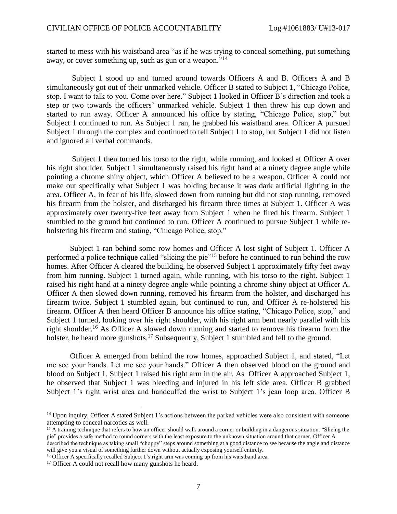started to mess with his waistband area "as if he was trying to conceal something, put something away, or cover something up, such as gun or a weapon."<sup>14</sup>

 Subject 1 stood up and turned around towards Officers A and B. Officers A and B simultaneously got out of their unmarked vehicle. Officer B stated to Subject 1, "Chicago Police, stop. I want to talk to you. Come over here." Subject 1 looked in Officer B's direction and took a step or two towards the officers' unmarked vehicle. Subject 1 then threw his cup down and started to run away. Officer A announced his office by stating, "Chicago Police, stop," but Subject 1 continued to run. As Subject 1 ran, he grabbed his waistband area. Officer A pursued Subject 1 through the complex and continued to tell Subject 1 to stop, but Subject 1 did not listen and ignored all verbal commands.

 Subject 1 then turned his torso to the right, while running, and looked at Officer A over his right shoulder. Subject 1 simultaneously raised his right hand at a ninety degree angle while pointing a chrome shiny object, which Officer A believed to be a weapon. Officer A could not make out specifically what Subject 1 was holding because it was dark artificial lighting in the area. Officer A, in fear of his life, slowed down from running but did not stop running, removed his firearm from the holster, and discharged his firearm three times at Subject 1. Officer A was approximately over twenty-five feet away from Subject 1 when he fired his firearm. Subject 1 stumbled to the ground but continued to run. Officer A continued to pursue Subject 1 while reholstering his firearm and stating, "Chicago Police, stop."

 Subject 1 ran behind some row homes and Officer A lost sight of Subject 1. Officer A performed a police technique called "slicing the pie"<sup>15</sup> before he continued to run behind the row homes. After Officer A cleared the building, he observed Subject 1 approximately fifty feet away from him running. Subject 1 turned again, while running, with his torso to the right. Subject 1 raised his right hand at a ninety degree angle while pointing a chrome shiny object at Officer A. Officer A then slowed down running, removed his firearm from the holster, and discharged his firearm twice. Subject 1 stumbled again, but continued to run, and Officer A re-holstered his firearm. Officer A then heard Officer B announce his office stating, "Chicago Police, stop," and Subject 1 turned, looking over his right shoulder, with his right arm bent nearly parallel with his right shoulder.<sup>16</sup> As Officer A slowed down running and started to remove his firearm from the holster, he heard more gunshots.<sup>17</sup> Subsequently, Subject 1 stumbled and fell to the ground.

 Officer A emerged from behind the row homes, approached Subject 1, and stated, "Let me see your hands. Let me see your hands." Officer A then observed blood on the ground and blood on Subject 1. Subject 1 raised his right arm in the air. As Officer A approached Subject 1, he observed that Subject 1 was bleeding and injured in his left side area. Officer B grabbed Subject 1's right wrist area and handcuffed the wrist to Subject 1's jean loop area. Officer B

<sup>&</sup>lt;sup>14</sup> Upon inquiry, Officer A stated Subject 1's actions between the parked vehicles were also consistent with someone attempting to conceal narcotics as well.

<sup>&</sup>lt;sup>15</sup> A training technique that refers to how an officer should walk around a corner or building in a dangerous situation. "Slicing the pie" provides a safe method to round corners with the least exposure to the unknown situation around that corner. Officer A

described the technique as taking small "choppy" steps around something at a good distance to see because the angle and distance will give you a visual of something further down without actually exposing yourself entirely.

<sup>&</sup>lt;sup>16</sup> Officer A specifically recalled Subject 1's right arm was coming up from his waistband area.

<sup>&</sup>lt;sup>17</sup> Officer A could not recall how many gunshots he heard.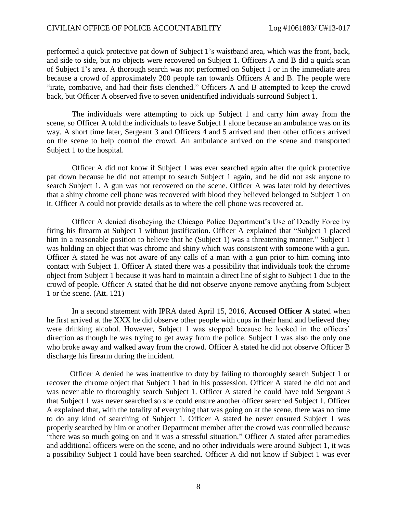performed a quick protective pat down of Subject 1's waistband area, which was the front, back, and side to side, but no objects were recovered on Subject 1. Officers A and B did a quick scan of Subject 1's area. A thorough search was not performed on Subject 1 or in the immediate area because a crowd of approximately 200 people ran towards Officers A and B. The people were "irate, combative, and had their fists clenched." Officers A and B attempted to keep the crowd back, but Officer A observed five to seven unidentified individuals surround Subject 1.

 The individuals were attempting to pick up Subject 1 and carry him away from the scene, so Officer A told the individuals to leave Subject 1 alone because an ambulance was on its way. A short time later, Sergeant 3 and Officers 4 and 5 arrived and then other officers arrived on the scene to help control the crowd. An ambulance arrived on the scene and transported Subject 1 to the hospital.

 Officer A did not know if Subject 1 was ever searched again after the quick protective pat down because he did not attempt to search Subject 1 again, and he did not ask anyone to search Subject 1. A gun was not recovered on the scene. Officer A was later told by detectives that a shiny chrome cell phone was recovered with blood they believed belonged to Subject 1 on it. Officer A could not provide details as to where the cell phone was recovered at.

 Officer A denied disobeying the Chicago Police Department's Use of Deadly Force by firing his firearm at Subject 1 without justification. Officer A explained that "Subject 1 placed him in a reasonable position to believe that he (Subject 1) was a threatening manner." Subject 1 was holding an object that was chrome and shiny which was consistent with someone with a gun. Officer A stated he was not aware of any calls of a man with a gun prior to him coming into contact with Subject 1. Officer A stated there was a possibility that individuals took the chrome object from Subject 1 because it was hard to maintain a direct line of sight to Subject 1 due to the crowd of people. Officer A stated that he did not observe anyone remove anything from Subject 1 or the scene. (Att. 121)

 In a second statement with IPRA dated April 15, 2016, **Accused Officer A** stated when he first arrived at the XXX he did observe other people with cups in their hand and believed they were drinking alcohol. However, Subject 1 was stopped because he looked in the officers' direction as though he was trying to get away from the police. Subject 1 was also the only one who broke away and walked away from the crowd. Officer A stated he did not observe Officer B discharge his firearm during the incident.

 Officer A denied he was inattentive to duty by failing to thoroughly search Subject 1 or recover the chrome object that Subject 1 had in his possession. Officer A stated he did not and was never able to thoroughly search Subject 1. Officer A stated he could have told Sergeant 3 that Subject 1 was never searched so she could ensure another officer searched Subject 1. Officer A explained that, with the totality of everything that was going on at the scene, there was no time to do any kind of searching of Subject 1. Officer A stated he never ensured Subject 1 was properly searched by him or another Department member after the crowd was controlled because "there was so much going on and it was a stressful situation." Officer A stated after paramedics and additional officers were on the scene, and no other individuals were around Subject 1, it was a possibility Subject 1 could have been searched. Officer A did not know if Subject 1 was ever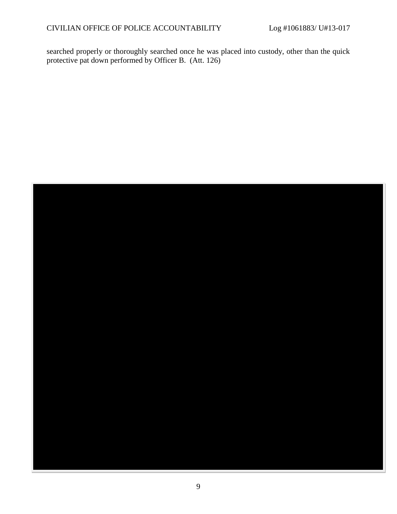searched properly or thoroughly searched once he was placed into custody, other than the quick protective pat down performed by Officer B. (Att. 126)

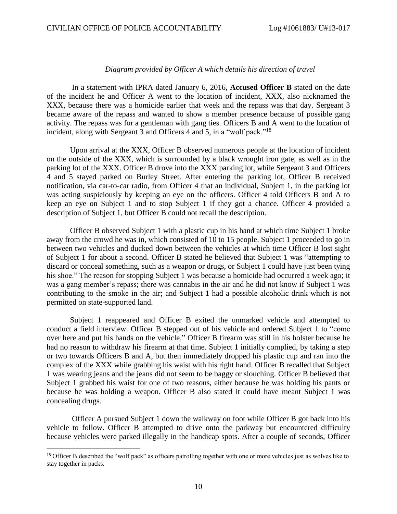#### *Diagram provided by Officer A which details his direction of travel*

 In a statement with IPRA dated January 6, 2016, **Accused Officer B** stated on the date of the incident he and Officer A went to the location of incident, XXX, also nicknamed the XXX, because there was a homicide earlier that week and the repass was that day. Sergeant 3 became aware of the repass and wanted to show a member presence because of possible gang activity. The repass was for a gentleman with gang ties. Officers B and A went to the location of incident, along with Sergeant 3 and Officers 4 and 5, in a "wolf pack."<sup>18</sup>

 Upon arrival at the XXX, Officer B observed numerous people at the location of incident on the outside of the XXX, which is surrounded by a black wrought iron gate, as well as in the parking lot of the XXX. Officer B drove into the XXX parking lot, while Sergeant 3 and Officers 4 and 5 stayed parked on Burley Street. After entering the parking lot, Officer B received notification, via car-to-car radio, from Officer 4 that an individual, Subject 1, in the parking lot was acting suspiciously by keeping an eye on the officers. Officer 4 told Officers B and A to keep an eye on Subject 1 and to stop Subject 1 if they got a chance. Officer 4 provided a description of Subject 1, but Officer B could not recall the description.

 Officer B observed Subject 1 with a plastic cup in his hand at which time Subject 1 broke away from the crowd he was in, which consisted of 10 to 15 people. Subject 1 proceeded to go in between two vehicles and ducked down between the vehicles at which time Officer B lost sight of Subject 1 for about a second. Officer B stated he believed that Subject 1 was "attempting to discard or conceal something, such as a weapon or drugs, or Subject 1 could have just been tying his shoe." The reason for stopping Subject 1 was because a homicide had occurred a week ago; it was a gang member's repass; there was cannabis in the air and he did not know if Subject 1 was contributing to the smoke in the air; and Subject 1 had a possible alcoholic drink which is not permitted on state-supported land.

Subject 1 reappeared and Officer B exited the unmarked vehicle and attempted to conduct a field interview. Officer B stepped out of his vehicle and ordered Subject 1 to "come over here and put his hands on the vehicle." Officer B firearm was still in his holster because he had no reason to withdraw his firearm at that time. Subject 1 initially complied, by taking a step or two towards Officers B and A, but then immediately dropped his plastic cup and ran into the complex of the XXX while grabbing his waist with his right hand. Officer B recalled that Subject 1 was wearing jeans and the jeans did not seem to be baggy or slouching. Officer B believed that Subject 1 grabbed his waist for one of two reasons, either because he was holding his pants or because he was holding a weapon. Officer B also stated it could have meant Subject 1 was concealing drugs.

 Officer A pursued Subject 1 down the walkway on foot while Officer B got back into his vehicle to follow. Officer B attempted to drive onto the parkway but encountered difficulty because vehicles were parked illegally in the handicap spots. After a couple of seconds, Officer

<sup>&</sup>lt;sup>18</sup> Officer B described the "wolf pack" as officers patrolling together with one or more vehicles just as wolves like to stay together in packs.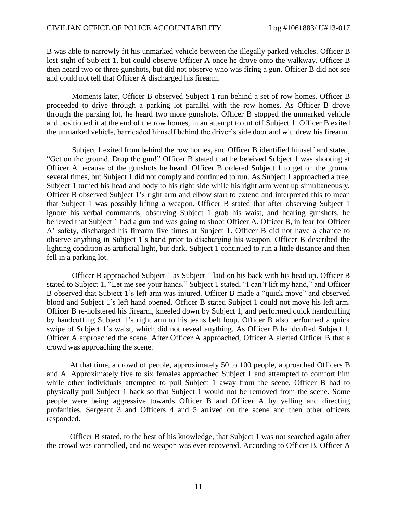B was able to narrowly fit his unmarked vehicle between the illegally parked vehicles. Officer B lost sight of Subject 1, but could observe Officer A once he drove onto the walkway. Officer B then heard two or three gunshots, but did not observe who was firing a gun. Officer B did not see and could not tell that Officer A discharged his firearm.

 Moments later, Officer B observed Subject 1 run behind a set of row homes. Officer B proceeded to drive through a parking lot parallel with the row homes. As Officer B drove through the parking lot, he heard two more gunshots. Officer B stopped the unmarked vehicle and positioned it at the end of the row homes, in an attempt to cut off Subject 1. Officer B exited the unmarked vehicle, barricaded himself behind the driver's side door and withdrew his firearm.

 Subject 1 exited from behind the row homes, and Officer B identified himself and stated, "Get on the ground. Drop the gun!" Officer B stated that he beleived Subject 1 was shooting at Officer A because of the gunshots he heard. Officer B ordered Subject 1 to get on the ground several times, but Subject 1 did not comply and continued to run. As Subject 1 approached a tree, Subject 1 turned his head and body to his right side while his right arm went up simultaneously. Officer B observed Subject 1's right arm and elbow start to extend and interpreted this to mean that Subject 1 was possibly lifting a weapon. Officer B stated that after observing Subject 1 ignore his verbal commands, observing Subject 1 grab his waist, and hearing gunshots, he believed that Subject 1 had a gun and was going to shoot Officer A. Officer B, in fear for Officer A' safety, discharged his firearm five times at Subject 1. Officer B did not have a chance to observe anything in Subject 1's hand prior to discharging his weapon. Officer B described the lighting condition as artificial light, but dark. Subject 1 continued to run a little distance and then fell in a parking lot.

 Officer B approached Subject 1 as Subject 1 laid on his back with his head up. Officer B stated to Subject 1, "Let me see your hands." Subject 1 stated, "I can't lift my hand," and Officer B observed that Subject 1's left arm was injured. Officer B made a "quick move" and observed blood and Subject 1's left hand opened. Officer B stated Subject 1 could not move his left arm. Officer B re-holstered his firearm, kneeled down by Subject 1, and performed quick handcuffing by handcuffing Subject 1's right arm to his jeans belt loop. Officer B also performed a quick swipe of Subject 1's waist, which did not reveal anything. As Officer B handcuffed Subject 1, Officer A approached the scene. After Officer A approached, Officer A alerted Officer B that a crowd was approaching the scene.

 At that time, a crowd of people, approximately 50 to 100 people, approached Officers B and A. Approximately five to six females approached Subject 1 and attempted to comfort him while other individuals attempted to pull Subject 1 away from the scene. Officer B had to physically pull Subject 1 back so that Subject 1 would not be removed from the scene. Some people were being aggressive towards Officer B and Officer A by yelling and directing profanities. Sergeant 3 and Officers 4 and 5 arrived on the scene and then other officers responded.

 Officer B stated, to the best of his knowledge, that Subject 1 was not searched again after the crowd was controlled, and no weapon was ever recovered. According to Officer B, Officer A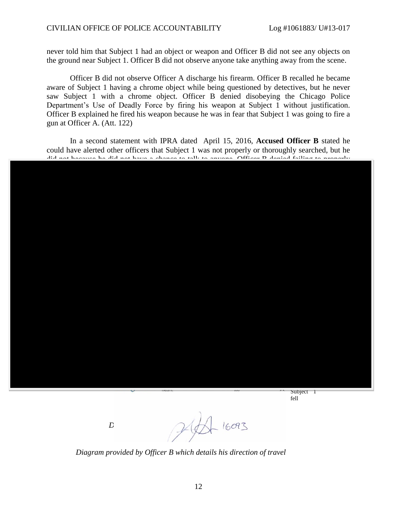never told him that Subject 1 had an object or weapon and Officer B did not see any objects on the ground near Subject 1. Officer B did not observe anyone take anything away from the scene.

 Officer B did not observe Officer A discharge his firearm. Officer B recalled he became aware of Subject 1 having a chrome object while being questioned by detectives, but he never saw Subject 1 with a chrome object. Officer B denied disobeying the Chicago Police Department's Use of Deadly Force by firing his weapon at Subject 1 without justification. Officer B explained he fired his weapon because he was in fear that Subject 1 was going to fire a gun at Officer A. (Att. 122)

 In a second statement with IPRA dated April 15, 2016, **Accused Officer B** stated he could have alerted other officers that Subject 1 was not properly or thoroughly searched, but he did not because he did not have a chance to talk to anyone. Officer B denied failing to no

> Subject 1 fell

 $D$   $P$  $P$  $P$  $P$  $16093$ 

 *Diagram provided by Officer B which details his direction of travel*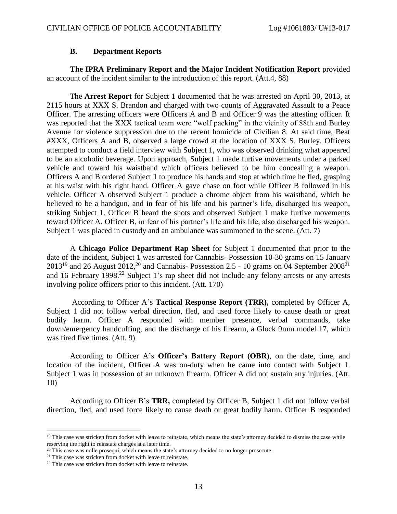#### **B. Department Reports**

 **The IPRA Preliminary Report and the Major Incident Notification Report** provided an account of the incident similar to the introduction of this report. (Att.4, 88)

 The **Arrest Report** for Subject 1 documented that he was arrested on April 30, 2013, at 2115 hours at XXX S. Brandon and charged with two counts of Aggravated Assault to a Peace Officer. The arresting officers were Officers A and B and Officer 9 was the attesting officer. It was reported that the XXX tactical team were "wolf packing" in the vicinity of 88th and Burley Avenue for violence suppression due to the recent homicide of Civilian 8. At said time, Beat #XXX, Officers A and B, observed a large crowd at the location of XXX S. Burley. Officers attempted to conduct a field interview with Subject 1, who was observed drinking what appeared to be an alcoholic beverage. Upon approach, Subject 1 made furtive movements under a parked vehicle and toward his waistband which officers believed to be him concealing a weapon. Officers A and B ordered Subject 1 to produce his hands and stop at which time he fled, grasping at his waist with his right hand. Officer A gave chase on foot while Officer B followed in his vehicle. Officer A observed Subject 1 produce a chrome object from his waistband, which he believed to be a handgun, and in fear of his life and his partner's life, discharged his weapon, striking Subject 1. Officer B heard the shots and observed Subject 1 make furtive movements toward Officer A. Officer B, in fear of his partner's life and his life, also discharged his weapon. Subject 1 was placed in custody and an ambulance was summoned to the scene. (Att. 7)

 A **Chicago Police Department Rap Sheet** for Subject 1 documented that prior to the date of the incident, Subject 1 was arrested for Cannabis- Possession 10-30 grams on 15 January  $2013^{19}$  and 26 August 2012,<sup>20</sup> and Cannabis- Possession 2.5 - 10 grams on 04 September 2008<sup>21</sup> and 16 February 1998.<sup>22</sup> Subject 1's rap sheet did not include any felony arrests or any arrests involving police officers prior to this incident. (Att. 170)

 According to Officer A's **Tactical Response Report (TRR),** completed by Officer A, Subject 1 did not follow verbal direction, fled, and used force likely to cause death or great bodily harm. Officer A responded with member presence, verbal commands, take down/emergency handcuffing, and the discharge of his firearm, a Glock 9mm model 17, which was fired five times. (Att. 9)

 According to Officer A's **Officer's Battery Report (OBR)**, on the date, time, and location of the incident, Officer A was on-duty when he came into contact with Subject 1. Subject 1 was in possession of an unknown firearm. Officer A did not sustain any injuries. (Att. 10)

 According to Officer B's **TRR,** completed by Officer B, Subject 1 did not follow verbal direction, fled, and used force likely to cause death or great bodily harm. Officer B responded

<sup>&</sup>lt;sup>19</sup> This case was stricken from docket with leave to reinstate, which means the state's attorney decided to dismiss the case while reserving the right to reinstate charges at a later time.

<sup>&</sup>lt;sup>20</sup> This case was nolle prosequi, which means the state's attorney decided to no longer prosecute.

<sup>&</sup>lt;sup>21</sup> This case was stricken from docket with leave to reinstate.

<sup>&</sup>lt;sup>22</sup> This case was stricken from docket with leave to reinstate.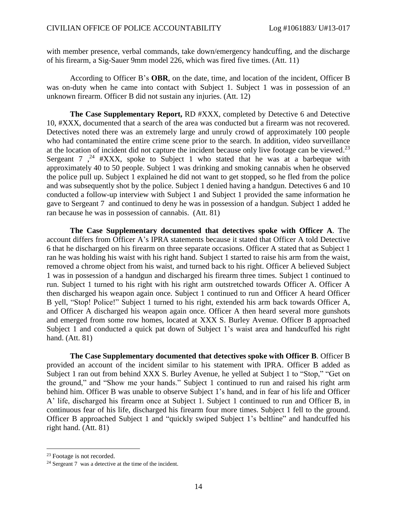with member presence, verbal commands, take down/emergency handcuffing, and the discharge of his firearm, a Sig-Sauer 9mm model 226, which was fired five times. (Att. 11)

 According to Officer B's **OBR**, on the date, time, and location of the incident, Officer B was on-duty when he came into contact with Subject 1. Subject 1 was in possession of an unknown firearm. Officer B did not sustain any injuries. (Att. 12)

 **The Case Supplementary Report,** RD #XXX, completed by Detective 6 and Detective 10, #XXX, documented that a search of the area was conducted but a firearm was not recovered. Detectives noted there was an extremely large and unruly crowd of approximately 100 people who had contaminated the entire crime scene prior to the search. In addition, video surveillance at the location of incident did not capture the incident because only live footage can be viewed.<sup>23</sup> Sergeant  $7 \frac{1}{2}$  #XXX, spoke to Subject 1 who stated that he was at a barbeque with approximately 40 to 50 people. Subject 1 was drinking and smoking cannabis when he observed the police pull up. Subject 1 explained he did not want to get stopped, so he fled from the police and was subsequently shot by the police. Subject 1 denied having a handgun. Detectives 6 and 10 conducted a follow-up interview with Subject 1 and Subject 1 provided the same information he gave to Sergeant 7 and continued to deny he was in possession of a handgun. Subject 1 added he ran because he was in possession of cannabis. (Att. 81)

**The Case Supplementary documented that detectives spoke with Officer A**. The account differs from Officer A's IPRA statements because it stated that Officer A told Detective 6 that he discharged on his firearm on three separate occasions. Officer A stated that as Subject 1 ran he was holding his waist with his right hand. Subject 1 started to raise his arm from the waist, removed a chrome object from his waist, and turned back to his right. Officer A believed Subject 1 was in possession of a handgun and discharged his firearm three times. Subject 1 continued to run. Subject 1 turned to his right with his right arm outstretched towards Officer A. Officer A then discharged his weapon again once. Subject 1 continued to run and Officer A heard Officer B yell, "Stop! Police!" Subject 1 turned to his right, extended his arm back towards Officer A, and Officer A discharged his weapon again once. Officer A then heard several more gunshots and emerged from some row homes, located at XXX S. Burley Avenue. Officer B approached Subject 1 and conducted a quick pat down of Subject 1's waist area and handcuffed his right hand. (Att. 81)

 **The Case Supplementary documented that detectives spoke with Officer B**. Officer B provided an account of the incident similar to his statement with IPRA. Officer B added as Subject 1 ran out from behind XXX S. Burley Avenue, he yelled at Subject 1 to "Stop," "Get on the ground," and "Show me your hands." Subject 1 continued to run and raised his right arm behind him. Officer B was unable to observe Subject 1's hand, and in fear of his life and Officer A' life, discharged his firearm once at Subject 1. Subject 1 continued to run and Officer B, in continuous fear of his life, discharged his firearm four more times. Subject 1 fell to the ground. Officer B approached Subject 1 and "quickly swiped Subject 1's beltline" and handcuffed his right hand. (Att. 81)

<sup>&</sup>lt;sup>23</sup> Footage is not recorded.

<sup>&</sup>lt;sup>24</sup> Sergeant 7 was a detective at the time of the incident.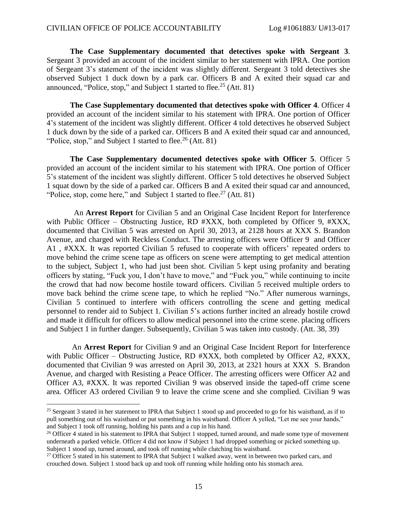**The Case Supplementary documented that detectives spoke with Sergeant 3**. Sergeant 3 provided an account of the incident similar to her statement with IPRA. One portion of Sergeant 3's statement of the incident was slightly different. Sergeant 3 told detectives she observed Subject 1 duck down by a park car. Officers B and A exited their squad car and announced, "Police, stop," and Subject 1 started to flee.<sup>25</sup> (Att. 81)

 **The Case Supplementary documented that detectives spoke with Officer 4**. Officer 4 provided an account of the incident similar to his statement with IPRA. One portion of Officer 4's statement of the incident was slightly different. Officer 4 told detectives he observed Subject 1 duck down by the side of a parked car. Officers B and A exited their squad car and announced, "Police, stop," and Subject 1 started to flee.<sup>26</sup> (Att. 81)

 **The Case Supplementary documented detectives spoke with Officer 5**. Officer 5 provided an account of the incident similar to his statement with IPRA. One portion of Officer 5's statement of the incident was slightly different. Officer 5 told detectives he observed Subject 1 squat down by the side of a parked car. Officers B and A exited their squad car and announced, "Police, stop, come here," and Subject 1 started to flee.<sup>27</sup> (Att. 81)

 An **Arrest Report** for Civilian 5 and an Original Case Incident Report for Interference with Public Officer – Obstructing Justice, RD #XXX, both completed by Officer 9, #XXX, documented that Civilian 5 was arrested on April 30, 2013, at 2128 hours at XXX S. Brandon Avenue, and charged with Reckless Conduct. The arresting officers were Officer 9 and Officer A1 , #XXX. It was reported Civilian 5 refused to cooperate with officers' repeated orders to move behind the crime scene tape as officers on scene were attempting to get medical attention to the subject, Subject 1, who had just been shot. Civilian 5 kept using profanity and berating officers by stating, "Fuck you, I don't have to move," and "Fuck you," while continuing to incite the crowd that had now become hostile toward officers. Civilian 5 received multiple orders to move back behind the crime scene tape, to which he replied "No." After numerous warnings, Civilian 5 continued to interfere with officers controlling the scene and getting medical personnel to render aid to Subject 1. Civilian 5's actions further incited an already hostile crowd and made it difficult for officers to allow medical personnel into the crime scene. placing officers and Subject 1 in further danger. Subsequently, Civilian 5 was taken into custody. (Att. 38, 39)

 An **Arrest Report** for Civilian 9 and an Original Case Incident Report for Interference with Public Officer – Obstructing Justice, RD #XXX, both completed by Officer A2, #XXX, documented that Civilian 9 was arrested on April 30, 2013, at 2321 hours at XXX S. Brandon Avenue, and charged with Resisting a Peace Officer. The arresting officers were Officer A2 and Officer A3, #XXX. It was reported Civilian 9 was observed inside the taped-off crime scene area. Officer A3 ordered Civilian 9 to leave the crime scene and she complied. Civilian 9 was

<sup>&</sup>lt;sup>25</sup> Sergeant 3 stated in her statement to IPRA that Subject 1 stood up and proceeded to go for his waistband, as if to pull something out of his waistband or put something in his waistband. Officer A yelled, "Let me see your hands," and Subject 1 took off running, holding his pants and a cup in his hand.

<sup>&</sup>lt;sup>26</sup> Officer 4 stated in his statement to IPRA that Subject 1 stopped, turned around, and made some type of movement underneath a parked vehicle. Officer 4 did not know if Subject 1 had dropped something or picked something up. Subject 1 stood up, turned around, and took off running while clutching his waistband.

<sup>&</sup>lt;sup>27</sup> Officer 5 stated in his statement to IPRA that Subject 1 walked away, went in between two parked cars, and crouched down. Subject 1 stood back up and took off running while holding onto his stomach area.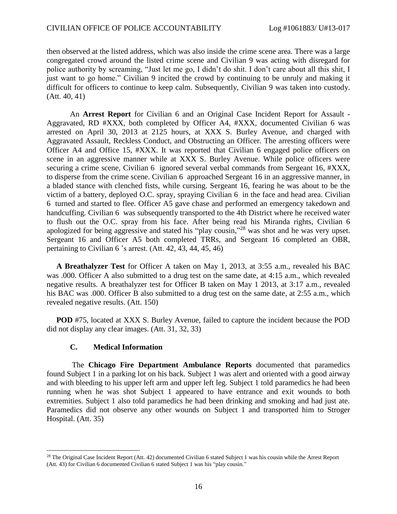then observed at the listed address, which was also inside the crime scene area. There was a large congregated crowd around the listed crime scene and Civilian 9 was acting with disregard for police authority by screaming, "Just let me go, I didn't do shit. I don't care about all this shit, I just want to go home." Civilian 9 incited the crowd by continuing to be unruly and making it difficult for officers to continue to keep calm. Subsequently, Civilian 9 was taken into custody. (Att. 40, 41)

 An **Arrest Report** for Civilian 6 and an Original Case Incident Report for Assault - Aggravated, RD #XXX, both completed by Officer A4, #XXX, documented Civilian 6 was arrested on April 30, 2013 at 2125 hours, at XXX S. Burley Avenue, and charged with Aggravated Assault, Reckless Conduct, and Obstructing an Officer. The arresting officers were Officer A4 and Office 15, #XXX. It was reported that Civilian 6 engaged police officers on scene in an aggressive manner while at XXX S. Burley Avenue. While police officers were securing a crime scene, Civilian 6 ignored several verbal commands from Sergeant 16, #XXX, to disperse from the crime scene. Civilian 6 approached Sergeant 16 in an aggressive manner, in a bladed stance with clenched fists, while cursing. Sergeant 16, fearing he was about to be the victim of a battery, deployed O.C. spray, spraying Civilian 6 in the face and head area. Civilian 6 turned and started to flee. Officer A5 gave chase and performed an emergency takedown and handcuffing. Civilian 6 was subsequently transported to the 4th District where he received water to flush out the O.C. spray from his face. After being read his Miranda rights, Civilian 6 apologized for being aggressive and stated his "play cousin,"<sup>28</sup> was shot and he was very upset. Sergeant 16 and Officer A5 both completed TRRs, and Sergeant 16 completed an OBR, pertaining to Civilian 6 's arrest. (Att. 42, 43, 44, 45, 46)

 **A Breathalyzer Test** for Officer A taken on May 1, 2013, at 3:55 a.m., revealed his BAC was .000. Officer A also submitted to a drug test on the same date, at 4:15 a.m., which revealed negative results. A breathalyzer test for Officer B taken on May 1 2013, at 3:17 a.m., revealed his BAC was .000. Officer B also submitted to a drug test on the same date, at 2:55 a.m., which revealed negative results. (Att. 150)

 **POD** #75, located at XXX S. Burley Avenue, failed to capture the incident because the POD did not display any clear images. (Att. 31, 32, 33)

## **C. Medical Information**

 $\overline{a}$ 

 The **Chicago Fire Department Ambulance Reports** documented that paramedics found Subject 1 in a parking lot on his back. Subject 1 was alert and oriented with a good airway and with bleeding to his upper left arm and upper left leg. Subject 1 told paramedics he had been running when he was shot Subject 1 appeared to have entrance and exit wounds to both extremities. Subject 1 also told paramedics he had been drinking and smoking and had just ate. Paramedics did not observe any other wounds on Subject 1 and transported him to Stroger Hospital. (Att. 35)

 $28$  The Original Case Incident Report (Att. 42) documented Civilian 6 stated Subject 1 was his cousin while the Arrest Report (Att. 43) for Civilian 6 documented Civilian 6 stated Subject 1 was his "play cousin."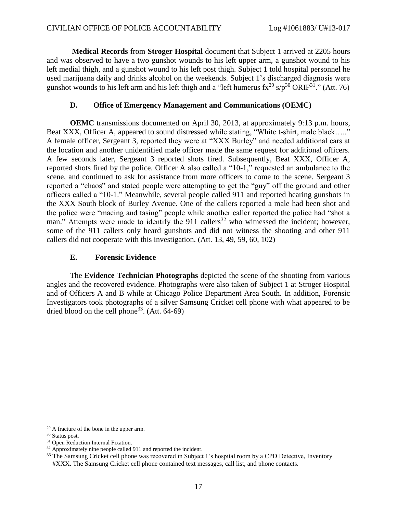**Medical Records** from **Stroger Hospital** document that Subject 1 arrived at 2205 hours and was observed to have a two gunshot wounds to his left upper arm, a gunshot wound to his left medial thigh, and a gunshot wound to his left post thigh. Subject 1 told hospital personnel he used marijuana daily and drinks alcohol on the weekends. Subject 1's discharged diagnosis were gunshot wounds to his left arm and his left thigh and a "left humerus  $\text{fx}^{29} \text{ s/p}^{30} \text{ ORIF}^{31}$ ." (Att. 76)

### **D. Office of Emergency Management and Communications (OEMC)**

 **OEMC** transmissions documented on April 30, 2013, at approximately 9:13 p.m. hours, Beat XXX, Officer A, appeared to sound distressed while stating, "White t-shirt, male black....." A female officer, Sergeant 3, reported they were at "XXX Burley" and needed additional cars at the location and another unidentified male officer made the same request for additional officers. A few seconds later, Sergeant 3 reported shots fired. Subsequently, Beat XXX, Officer A, reported shots fired by the police. Officer A also called a "10-1," requested an ambulance to the scene, and continued to ask for assistance from more officers to come to the scene. Sergeant 3 reported a "chaos" and stated people were attempting to get the "guy" off the ground and other officers called a "10-1." Meanwhile, several people called 911 and reported hearing gunshots in the XXX South block of Burley Avenue. One of the callers reported a male had been shot and the police were "macing and tasing" people while another caller reported the police had "shot a man." Attempts were made to identify the 911 callers<sup>32</sup> who witnessed the incident; however, some of the 911 callers only heard gunshots and did not witness the shooting and other 911 callers did not cooperate with this investigation. (Att. 13, 49, 59, 60, 102)

### **E. Forensic Evidence**

The **Evidence Technician Photographs** depicted the scene of the shooting from various angles and the recovered evidence. Photographs were also taken of Subject 1 at Stroger Hospital and of Officers A and B while at Chicago Police Department Area South. In addition, Forensic Investigators took photographs of a silver Samsung Cricket cell phone with what appeared to be dried blood on the cell phone<sup>33</sup>. (Att.  $64-69$ )

 $\overline{a}$ <sup>29</sup> A fracture of the bone in the upper arm.

<sup>30</sup> Status post.

<sup>&</sup>lt;sup>31</sup> Open Reduction Internal Fixation.

<sup>&</sup>lt;sup>32</sup> Approximately nine people called 911 and reported the incident.

<sup>&</sup>lt;sup>33</sup> The Samsung Cricket cell phone was recovered in Subject 1's hospital room by a CPD Detective, Inventory #XXX. The Samsung Cricket cell phone contained text messages, call list, and phone contacts.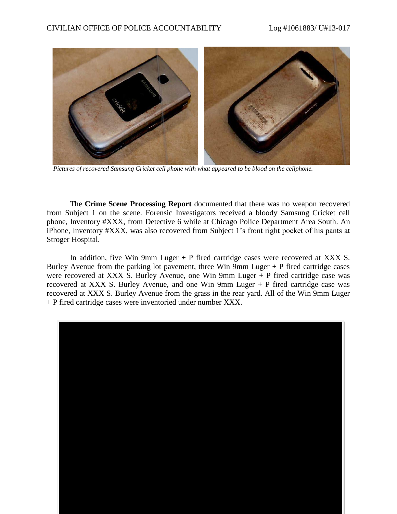

 *Pictures of recovered Samsung Cricket cell phone with what appeared to be blood on the cellphone.*

The **Crime Scene Processing Report** documented that there was no weapon recovered from Subject 1 on the scene. Forensic Investigators received a bloody Samsung Cricket cell phone, Inventory #XXX, from Detective 6 while at Chicago Police Department Area South. An iPhone, Inventory #XXX, was also recovered from Subject 1's front right pocket of his pants at Stroger Hospital.

 In addition, five Win 9mm Luger + P fired cartridge cases were recovered at XXX S. Burley Avenue from the parking lot pavement, three Win 9mm Luger  $+$  P fired cartridge cases were recovered at XXX S. Burley Avenue, one Win 9mm Luger + P fired cartridge case was recovered at XXX S. Burley Avenue, and one Win 9mm Luger + P fired cartridge case was recovered at XXX S. Burley Avenue from the grass in the rear yard. All of the Win 9mm Luger + P fired cartridge cases were inventoried under number XXX.

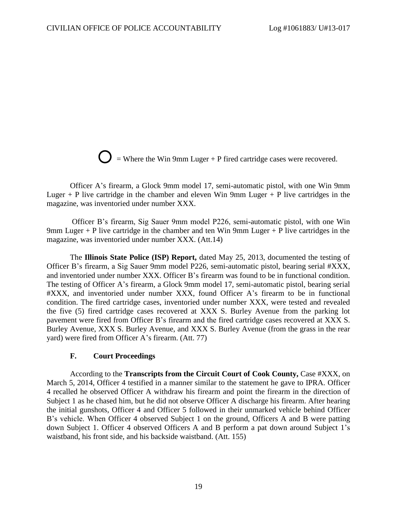$\sum$  = Where the Win 9mm Luger + P fired cartridge cases were recovered.

Officer A's firearm, a Glock 9mm model 17, semi-automatic pistol, with one Win 9mm Luger  $+$  P live cartridge in the chamber and eleven Win 9mm Luger  $+$  P live cartridges in the magazine, was inventoried under number XXX.

 Officer B's firearm, Sig Sauer 9mm model P226, semi-automatic pistol, with one Win 9mm Luger + P live cartridge in the chamber and ten Win 9mm Luger + P live cartridges in the magazine, was inventoried under number XXX. (Att.14)

 The **Illinois State Police (ISP) Report,** dated May 25, 2013, documented the testing of Officer B's firearm, a Sig Sauer 9mm model P226, semi-automatic pistol, bearing serial #XXX, and inventoried under number XXX. Officer B's firearm was found to be in functional condition. The testing of Officer A's firearm, a Glock 9mm model 17, semi-automatic pistol, bearing serial #XXX, and inventoried under number XXX, found Officer A's firearm to be in functional condition. The fired cartridge cases, inventoried under number XXX, were tested and revealed the five (5) fired cartridge cases recovered at XXX S. Burley Avenue from the parking lot pavement were fired from Officer B's firearm and the fired cartridge cases recovered at XXX S. Burley Avenue, XXX S. Burley Avenue, and XXX S. Burley Avenue (from the grass in the rear yard) were fired from Officer A's firearm. (Att. 77)

### **F. Court Proceedings**

According to the **Transcripts from the Circuit Court of Cook County,** Case #XXX, on March 5, 2014, Officer 4 testified in a manner similar to the statement he gave to IPRA. Officer 4 recalled he observed Officer A withdraw his firearm and point the firearm in the direction of Subject 1 as he chased him, but he did not observe Officer A discharge his firearm. After hearing the initial gunshots, Officer 4 and Officer 5 followed in their unmarked vehicle behind Officer B's vehicle. When Officer 4 observed Subject 1 on the ground, Officers A and B were patting down Subject 1. Officer 4 observed Officers A and B perform a pat down around Subject 1's waistband, his front side, and his backside waistband. (Att. 155)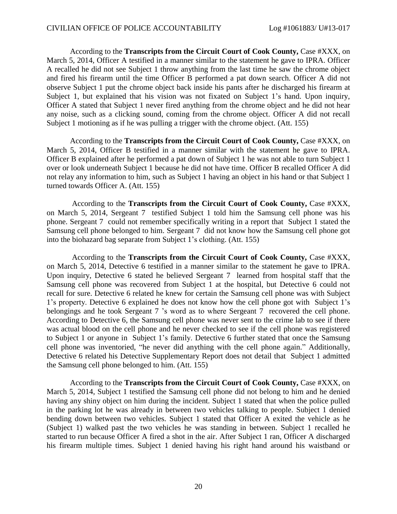According to the **Transcripts from the Circuit Court of Cook County,** Case #XXX, on March 5, 2014, Officer A testified in a manner similar to the statement he gave to IPRA. Officer A recalled he did not see Subject 1 throw anything from the last time he saw the chrome object and fired his firearm until the time Officer B performed a pat down search. Officer A did not observe Subject 1 put the chrome object back inside his pants after he discharged his firearm at Subject 1, but explained that his vision was not fixated on Subject 1's hand. Upon inquiry, Officer A stated that Subject 1 never fired anything from the chrome object and he did not hear any noise, such as a clicking sound, coming from the chrome object. Officer A did not recall Subject 1 motioning as if he was pulling a trigger with the chrome object. (Att. 155)

According to the **Transcripts from the Circuit Court of Cook County,** Case #XXX, on March 5, 2014, Officer B testified in a manner similar with the statement he gave to IPRA. Officer B explained after he performed a pat down of Subject 1 he was not able to turn Subject 1 over or look underneath Subject 1 because he did not have time. Officer B recalled Officer A did not relay any information to him, such as Subject 1 having an object in his hand or that Subject 1 turned towards Officer A. (Att. 155)

 According to the **Transcripts from the Circuit Court of Cook County,** Case #XXX, on March 5, 2014, Sergeant 7 testified Subject 1 told him the Samsung cell phone was his phone. Sergeant 7 could not remember specifically writing in a report that Subject 1 stated the Samsung cell phone belonged to him. Sergeant 7 did not know how the Samsung cell phone got into the biohazard bag separate from Subject 1's clothing. (Att. 155)

 According to the **Transcripts from the Circuit Court of Cook County,** Case #XXX, on March 5, 2014, Detective 6 testified in a manner similar to the statement he gave to IPRA. Upon inquiry, Detective 6 stated he believed Sergeant 7 learned from hospital staff that the Samsung cell phone was recovered from Subject 1 at the hospital, but Detective 6 could not recall for sure. Detective 6 related he knew for certain the Samsung cell phone was with Subject 1's property. Detective 6 explained he does not know how the cell phone got with Subject 1's belongings and he took Sergeant 7 's word as to where Sergeant 7 recovered the cell phone. According to Detective 6, the Samsung cell phone was never sent to the crime lab to see if there was actual blood on the cell phone and he never checked to see if the cell phone was registered to Subject 1 or anyone in Subject 1's family. Detective 6 further stated that once the Samsung cell phone was inventoried, "he never did anything with the cell phone again." Additionally, Detective 6 related his Detective Supplementary Report does not detail that Subject 1 admitted the Samsung cell phone belonged to him. (Att. 155)

 According to the **Transcripts from the Circuit Court of Cook County,** Case #XXX, on March 5, 2014, Subject 1 testified the Samsung cell phone did not belong to him and he denied having any shiny object on him during the incident. Subject 1 stated that when the police pulled in the parking lot he was already in between two vehicles talking to people. Subject 1 denied bending down between two vehicles. Subject 1 stated that Officer A exited the vehicle as he (Subject 1) walked past the two vehicles he was standing in between. Subject 1 recalled he started to run because Officer A fired a shot in the air. After Subject 1 ran, Officer A discharged his firearm multiple times. Subject 1 denied having his right hand around his waistband or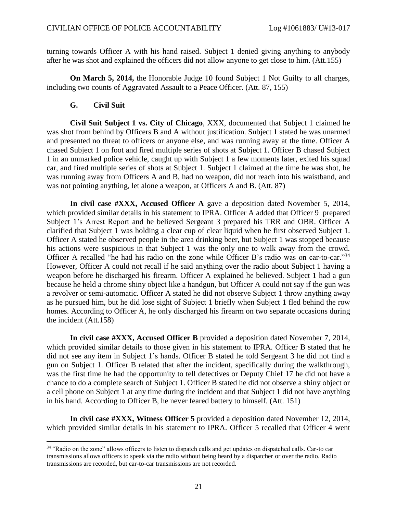turning towards Officer A with his hand raised. Subject 1 denied giving anything to anybody after he was shot and explained the officers did not allow anyone to get close to him. (Att.155)

 **On March 5, 2014,** the Honorable Judge 10 found Subject 1 Not Guilty to all charges, including two counts of Aggravated Assault to a Peace Officer. (Att. 87, 155)

**G. Civil Suit**

 $\overline{a}$ 

 **Civil Suit Subject 1 vs. City of Chicago**, XXX, documented that Subject 1 claimed he was shot from behind by Officers B and A without justification. Subject 1 stated he was unarmed and presented no threat to officers or anyone else, and was running away at the time. Officer A chased Subject 1 on foot and fired multiple series of shots at Subject 1. Officer B chased Subject 1 in an unmarked police vehicle, caught up with Subject 1 a few moments later, exited his squad car, and fired multiple series of shots at Subject 1. Subject 1 claimed at the time he was shot, he was running away from Officers A and B, had no weapon, did not reach into his waistband, and was not pointing anything, let alone a weapon, at Officers A and B. (Att. 87)

 **In civil case #XXX, Accused Officer A** gave a deposition dated November 5, 2014, which provided similar details in his statement to IPRA. Officer A added that Officer 9 prepared Subject 1's Arrest Report and he believed Sergeant 3 prepared his TRR and OBR. Officer A clarified that Subject 1 was holding a clear cup of clear liquid when he first observed Subject 1. Officer A stated he observed people in the area drinking beer, but Subject 1 was stopped because his actions were suspicious in that Subject 1 was the only one to walk away from the crowd. Officer A recalled "he had his radio on the zone while Officer B's radio was on car-to-car."<sup>34</sup> However, Officer A could not recall if he said anything over the radio about Subject 1 having a weapon before he discharged his firearm. Officer A explained he believed. Subject 1 had a gun because he held a chrome shiny object like a handgun, but Officer A could not say if the gun was a revolver or semi-automatic. Officer A stated he did not observe Subject 1 throw anything away as he pursued him, but he did lose sight of Subject 1 briefly when Subject 1 fled behind the row homes. According to Officer A, he only discharged his firearm on two separate occasions during the incident (Att.158)

 **In civil case #XXX, Accused Officer B** provided a deposition dated November 7, 2014, which provided similar details to those given in his statement to IPRA. Officer B stated that he did not see any item in Subject 1's hands. Officer B stated he told Sergeant 3 he did not find a gun on Subject 1. Officer B related that after the incident, specifically during the walkthrough, was the first time he had the opportunity to tell detectives or Deputy Chief 17 he did not have a chance to do a complete search of Subject 1. Officer B stated he did not observe a shiny object or a cell phone on Subject 1 at any time during the incident and that Subject 1 did not have anything in his hand. According to Officer B, he never feared battery to himself. (Att. 151)

 **In civil case #XXX, Witness Officer 5** provided a deposition dated November 12, 2014, which provided similar details in his statement to IPRA. Officer 5 recalled that Officer 4 went

<sup>&</sup>lt;sup>34</sup> "Radio on the zone" allows officers to listen to dispatch calls and get updates on dispatched calls. Car-to car transmissions allows officers to speak via the radio without being heard by a dispatcher or over the radio. Radio transmissions are recorded, but car-to-car transmissions are not recorded.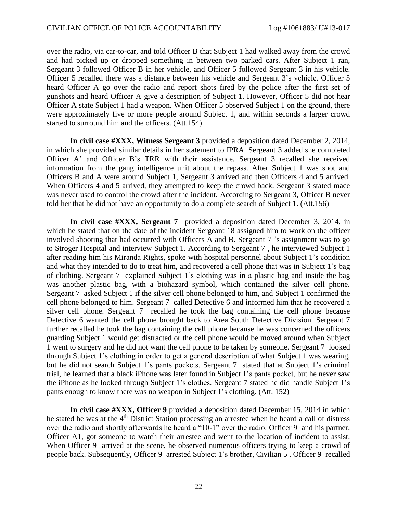over the radio, via car-to-car, and told Officer B that Subject 1 had walked away from the crowd and had picked up or dropped something in between two parked cars. After Subject 1 ran, Sergeant 3 followed Officer B in her vehicle, and Officer 5 followed Sergeant 3 in his vehicle. Officer 5 recalled there was a distance between his vehicle and Sergeant 3's vehicle. Officer 5 heard Officer A go over the radio and report shots fired by the police after the first set of gunshots and heard Officer A give a description of Subject 1. However, Officer 5 did not hear Officer A state Subject 1 had a weapon. When Officer 5 observed Subject 1 on the ground, there were approximately five or more people around Subject 1, and within seconds a larger crowd started to surround him and the officers. (Att.154)

 **In civil case #XXX, Witness Sergeant 3** provided a deposition dated December 2, 2014, in which she provided similar details in her statement to IPRA. Sergeant 3 added she completed Officer A' and Officer B's TRR with their assistance. Sergeant 3 recalled she received information from the gang intelligence unit about the repass. After Subject 1 was shot and Officers B and A were around Subject 1, Sergeant 3 arrived and then Officers 4 and 5 arrived. When Officers 4 and 5 arrived, they attempted to keep the crowd back. Sergeant 3 stated mace was never used to control the crowd after the incident. According to Sergeant 3, Officer B never told her that he did not have an opportunity to do a complete search of Subject 1. (Att.156)

 **In civil case #XXX, Sergeant 7** provided a deposition dated December 3, 2014, in which he stated that on the date of the incident Sergeant 18 assigned him to work on the officer involved shooting that had occurred with Officers A and B. Sergeant 7 's assignment was to go to Stroger Hospital and interview Subject 1. According to Sergeant 7 , he interviewed Subject 1 after reading him his Miranda Rights, spoke with hospital personnel about Subject 1's condition and what they intended to do to treat him, and recovered a cell phone that was in Subject 1's bag of clothing. Sergeant 7 explained Subject 1's clothing was in a plastic bag and inside the bag was another plastic bag, with a biohazard symbol, which contained the silver cell phone. Sergeant 7 asked Subject 1 if the silver cell phone belonged to him, and Subject 1 confirmed the cell phone belonged to him. Sergeant 7 called Detective 6 and informed him that he recovered a silver cell phone. Sergeant 7 recalled he took the bag containing the cell phone because Detective 6 wanted the cell phone brought back to Area South Detective Division. Sergeant 7 further recalled he took the bag containing the cell phone because he was concerned the officers guarding Subject 1 would get distracted or the cell phone would be moved around when Subject 1 went to surgery and he did not want the cell phone to be taken by someone. Sergeant 7 looked through Subject 1's clothing in order to get a general description of what Subject 1 was wearing, but he did not search Subject 1's pants pockets. Sergeant 7 stated that at Subject 1's criminal trial, he learned that a black iPhone was later found in Subject 1's pants pocket, but he never saw the iPhone as he looked through Subject 1's clothes. Sergeant 7 stated he did handle Subject 1's pants enough to know there was no weapon in Subject 1's clothing. (Att. 152)

 **In civil case #XXX, Officer 9** provided a deposition dated December 15, 2014 in which he stated he was at the 4<sup>th</sup> District Station processing an arrestee when he heard a call of distress over the radio and shortly afterwards he heard a "10-1" over the radio. Officer 9 and his partner, Officer A1, got someone to watch their arrestee and went to the location of incident to assist. When Officer 9 arrived at the scene, he observed numerous officers trying to keep a crowd of people back. Subsequently, Officer 9 arrested Subject 1's brother, Civilian 5 . Officer 9 recalled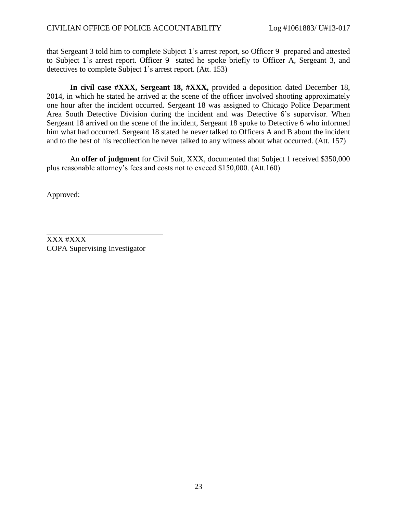that Sergeant 3 told him to complete Subject 1's arrest report, so Officer 9 prepared and attested to Subject 1's arrest report. Officer 9 stated he spoke briefly to Officer A, Sergeant 3, and detectives to complete Subject 1's arrest report. (Att. 153)

 **In civil case #XXX, Sergeant 18, #XXX,** provided a deposition dated December 18, 2014, in which he stated he arrived at the scene of the officer involved shooting approximately one hour after the incident occurred. Sergeant 18 was assigned to Chicago Police Department Area South Detective Division during the incident and was Detective 6's supervisor. When Sergeant 18 arrived on the scene of the incident, Sergeant 18 spoke to Detective 6 who informed him what had occurred. Sergeant 18 stated he never talked to Officers A and B about the incident and to the best of his recollection he never talked to any witness about what occurred. (Att. 157)

An **offer of judgment** for Civil Suit, XXX, documented that Subject 1 received \$350,000 plus reasonable attorney's fees and costs not to exceed \$150,000. (Att.160)

Approved:

XXX #XXX COPA Supervising Investigator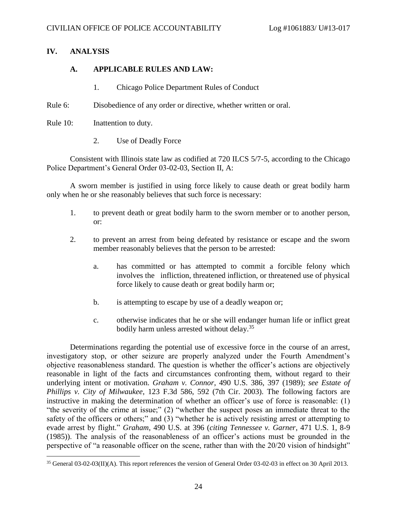## **IV. ANALYSIS**

 $\overline{a}$ 

## **A. APPLICABLE RULES AND LAW:**

- 1. Chicago Police Department Rules of Conduct
- Rule 6: Disobedience of any order or directive, whether written or oral.
- Rule 10: Inattention to duty.
	- 2. Use of Deadly Force

Consistent with Illinois state law as codified at 720 ILCS 5/7-5, according to the Chicago Police Department's General Order 03-02-03, Section II, A:

A sworn member is justified in using force likely to cause death or great bodily harm only when he or she reasonably believes that such force is necessary:

- 1. to prevent death or great bodily harm to the sworn member or to another person, or:
- 2. to prevent an arrest from being defeated by resistance or escape and the sworn member reasonably believes that the person to be arrested:
	- a. has committed or has attempted to commit a forcible felony which involves the infliction, threatened infliction, or threatened use of physical force likely to cause death or great bodily harm or;
	- b. is attempting to escape by use of a deadly weapon or;
	- c. otherwise indicates that he or she will endanger human life or inflict great bodily harm unless arrested without delay.<sup>35</sup>

Determinations regarding the potential use of excessive force in the course of an arrest, investigatory stop, or other seizure are properly analyzed under the Fourth Amendment's objective reasonableness standard. The question is whether the officer's actions are objectively reasonable in light of the facts and circumstances confronting them, without regard to their underlying intent or motivation. *Graham v. Connor*, 490 U.S. 386, 397 (1989); *see Estate of Phillips v. City of Milwaukee*, 123 F.3d 586, 592 (7th Cir. 2003). The following factors are instructive in making the determination of whether an officer's use of force is reasonable: (1) "the severity of the crime at issue;" (2) "whether the suspect poses an immediate threat to the safety of the officers or others;" and (3) "whether he is actively resisting arrest or attempting to evade arrest by flight." *Graham*, 490 U.S. at 396 (*citing Tennessee v. Garner*, 471 U.S. 1, 8-9 (1985)). The analysis of the reasonableness of an officer's actions must be grounded in the perspective of "a reasonable officer on the scene, rather than with the 20/20 vision of hindsight"

<sup>35</sup> General 03-02-03(II)(A). This report references the version of General Order 03-02-03 in effect on 30 April 2013.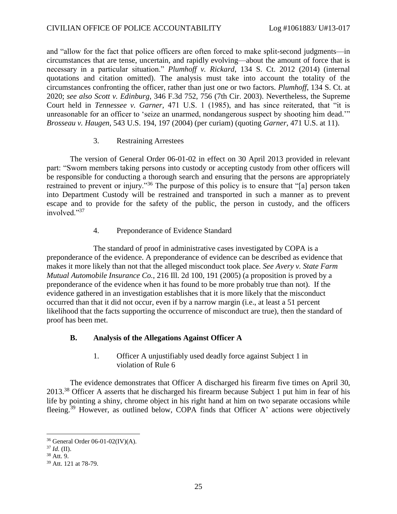and "allow for the fact that police officers are often forced to make split-second judgments—in circumstances that are tense, uncertain, and rapidly evolving—about the amount of force that is necessary in a particular situation." *Plumhoff v. Rickard*, 134 S. Ct. 2012 (2014) (internal quotations and citation omitted). The analysis must take into account the totality of the circumstances confronting the officer, rather than just one or two factors. *Plumhoff*, 134 S. Ct. at 2020; *see also Scott v. Edinburg*, 346 F.3d 752, 756 (7th Cir. 2003). Nevertheless, the Supreme Court held in *Tennessee v. Garner,* 471 U.S. 1 (1985), and has since reiterated, that "it is unreasonable for an officer to 'seize an unarmed, nondangerous suspect by shooting him dead.'" *Brosseau v. Haugen*, 543 U.S. 194, 197 (2004) (per curiam) (quoting *Garner*, 471 U.S. at 11).

### 3. Restraining Arrestees

The version of General Order 06-01-02 in effect on 30 April 2013 provided in relevant part: "Sworn members taking persons into custody or accepting custody from other officers will be responsible for conducting a thorough search and ensuring that the persons are appropriately restrained to prevent or injury."<sup>36</sup> The purpose of this policy is to ensure that "[a] person taken into Department Custody will be restrained and transported in such a manner as to prevent escape and to provide for the safety of the public, the person in custody, and the officers involved<sup>"37</sup>

4. Preponderance of Evidence Standard

The standard of proof in administrative cases investigated by COPA is a preponderance of the evidence. A preponderance of evidence can be described as evidence that makes it more likely than not that the alleged misconduct took place. *See Avery v. State Farm Mutual Automobile Insurance Co.*, 216 Ill. 2d 100, 191 (2005) (a proposition is proved by a preponderance of the evidence when it has found to be more probably true than not). If the evidence gathered in an investigation establishes that it is more likely that the misconduct occurred than that it did not occur, even if by a narrow margin (i.e., at least a 51 percent likelihood that the facts supporting the occurrence of misconduct are true), then the standard of proof has been met.

### **B. Analysis of the Allegations Against Officer A**

1. Officer A unjustifiably used deadly force against Subject 1 in violation of Rule 6

The evidence demonstrates that Officer A discharged his firearm five times on April 30, 2013.<sup>38</sup> Officer A asserts that he discharged his firearm because Subject 1 put him in fear of his life by pointing a shiny, chrome object in his right hand at him on two separate occasions while fleeing.<sup>39</sup> However, as outlined below, COPA finds that Officer A' actions were objectively

<sup>36</sup> General Order 06-01-02(IV)(A).

 $37$  *Id.* (II).

<sup>38</sup> Att. 9.

<sup>39</sup> Att. 121 at 78-79.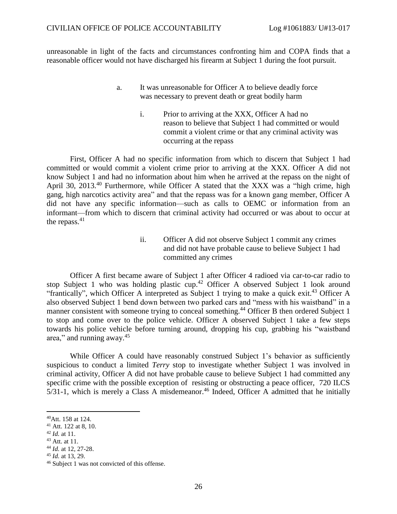unreasonable in light of the facts and circumstances confronting him and COPA finds that a reasonable officer would not have discharged his firearm at Subject 1 during the foot pursuit.

- a. It was unreasonable for Officer A to believe deadly force was necessary to prevent death or great bodily harm
	- i. Prior to arriving at the XXX, Officer A had no reason to believe that Subject 1 had committed or would commit a violent crime or that any criminal activity was occurring at the repass

First, Officer A had no specific information from which to discern that Subject 1 had committed or would commit a violent crime prior to arriving at the XXX. Officer A did not know Subject 1 and had no information about him when he arrived at the repass on the night of April 30, 2013.<sup>40</sup> Furthermore, while Officer A stated that the XXX was a "high crime, high gang, high narcotics activity area" and that the repass was for a known gang member, Officer A did not have any specific information—such as calls to OEMC or information from an informant—from which to discern that criminal activity had occurred or was about to occur at the repass. $41$ 

> ii. Officer A did not observe Subject 1 commit any crimes and did not have probable cause to believe Subject 1 had committed any crimes

Officer A first became aware of Subject 1 after Officer 4 radioed via car-to-car radio to stop Subject 1 who was holding plastic cup.<sup>42</sup> Officer A observed Subject 1 look around "frantically", which Officer A interpreted as Subject 1 trying to make a quick exit.<sup>43</sup> Officer A also observed Subject 1 bend down between two parked cars and "mess with his waistband" in a manner consistent with someone trying to conceal something.<sup>44</sup> Officer B then ordered Subject 1 to stop and come over to the police vehicle. Officer A observed Subject 1 take a few steps towards his police vehicle before turning around, dropping his cup, grabbing his "waistband area," and running away.<sup>45</sup>

While Officer A could have reasonably construed Subject 1's behavior as sufficiently suspicious to conduct a limited *Terry* stop to investigate whether Subject 1 was involved in criminal activity, Officer A did not have probable cause to believe Subject 1 had committed any specific crime with the possible exception of resisting or obstructing a peace officer, 720 ILCS 5/31-1, which is merely a Class A misdemeanor. <sup>46</sup> Indeed, Officer A admitted that he initially

- <sup>42</sup> *Id.* at 11.
- $43$  Att. at 11.

<sup>45</sup> *Id.* at 13, 29.

 $\overline{a}$ <sup>40</sup>Att. 158 at 124.

<sup>41</sup> Att. 122 at 8, 10.

<sup>44</sup> *Id.* at 12, 27-28.

<sup>46</sup> Subject 1 was not convicted of this offense.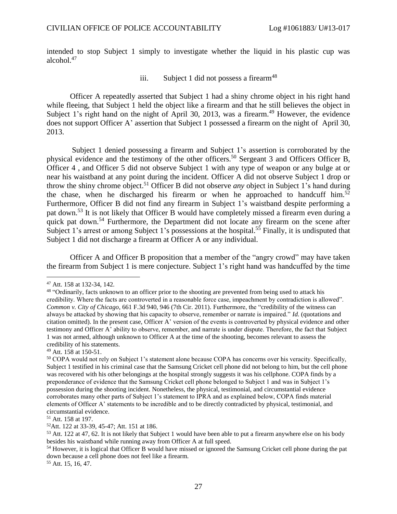intended to stop Subject 1 simply to investigate whether the liquid in his plastic cup was alcohol $147$ 

iii. Subject 1 did not possess a firearm<sup>48</sup>

Officer A repeatedly asserted that Subject 1 had a shiny chrome object in his right hand while fleeing, that Subject 1 held the object like a firearm and that he still believes the object in Subject 1's right hand on the night of April 30, 2013, was a firearm.<sup>49</sup> However, the evidence does not support Officer A' assertion that Subject 1 possessed a firearm on the night of April 30, 2013.

Subject 1 denied possessing a firearm and Subject 1's assertion is corroborated by the physical evidence and the testimony of the other officers. <sup>50</sup> Sergeant 3 and Officers Officer B, Officer 4 , and Officer 5 did not observe Subject 1 with any type of weapon or any bulge at or near his waistband at any point during the incident. Officer A did not observe Subject 1 drop or throw the shiny chrome object. <sup>51</sup> Officer B did not observe *any* object in Subject 1's hand during the chase, when he discharged his firearm or when he approached to handcuff him.<sup>52</sup> Furthermore, Officer B did not find any firearm in Subject 1's waistband despite performing a pat down.<sup>53</sup> It is not likely that Officer B would have completely missed a firearm even during a quick pat down.<sup>54</sup> Furthermore, the Department did not locate any firearm on the scene after Subject 1's arrest or among Subject 1's possessions at the hospital.<sup>55</sup> Finally, it is undisputed that Subject 1 did not discharge a firearm at Officer A or any individual.

Officer A and Officer B proposition that a member of the "angry crowd" may have taken the firearm from Subject 1 is mere conjecture. Subject 1's right hand was handcuffed by the time

 $\overline{a}$ 

<sup>51</sup> Att. 158 at 197.

<sup>52</sup>Att. 122 at 33-39, 45-47; Att. 151 at 186.

<sup>47</sup> Att. 158 at 132-34, 142.

<sup>&</sup>lt;sup>48</sup> "Ordinarily, facts unknown to an officer prior to the shooting are prevented from being used to attack his credibility. Where the facts are controverted in a reasonable force case, impeachment by contradiction is allowed". *Common v. City of Chicago*, 661 F.3d 940, 946 (7th Cir. 2011). Furthermore, the "credibility of the witness can always be attacked by showing that his capacity to observe, remember or narrate is impaired." *Id.* (quotations and citation omitted). In the present case, Officer A' version of the events is controverted by physical evidence and other testimony and Officer A' ability to observe, remember, and narrate is under dispute. Therefore, the fact that Subject 1 was not armed, although unknown to Officer A at the time of the shooting, becomes relevant to assess the credibility of his statements.

<sup>49</sup> Att. 158 at 150-51.

<sup>50</sup> COPA would not rely on Subject 1's statement alone because COPA has concerns over his veracity. Specifically, Subject 1 testified in his criminal case that the Samsung Cricket cell phone did not belong to him, but the cell phone was recovered with his other belongings at the hospital strongly suggests it was his cellphone. COPA finds by a preponderance of evidence that the Samsung Cricket cell phone belonged to Subject 1 and was in Subject 1's possession during the shooting incident. Nonetheless, the physical, testimonial, and circumstantial evidence corroborates many other parts of Subject 1's statement to IPRA and as explained below, COPA finds material elements of Officer A' statements to be incredible and to be directly contradicted by physical, testimonial, and circumstantial evidence.

<sup>&</sup>lt;sup>53</sup> Att. 122 at 47, 62. It is not likely that Subject 1 would have been able to put a firearm anywhere else on his body besides his waistband while running away from Officer A at full speed.

<sup>54</sup> However, it is logical that Officer B would have missed or ignored the Samsung Cricket cell phone during the pat down because a cell phone does not feel like a firearm.

<sup>55</sup> Att. 15, 16, 47.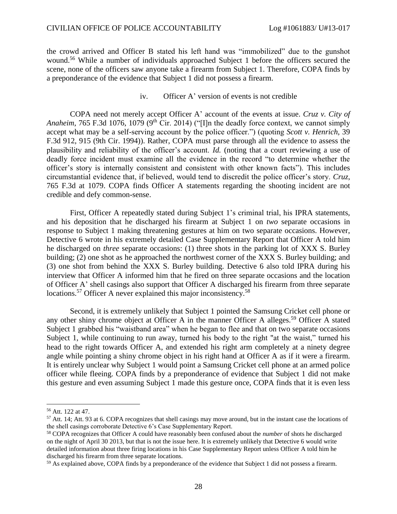the crowd arrived and Officer B stated his left hand was "immobilized" due to the gunshot wound.<sup>56</sup> While a number of individuals approached Subject 1 before the officers secured the scene, none of the officers saw anyone take a firearm from Subject 1. Therefore, COPA finds by a preponderance of the evidence that Subject 1 did not possess a firearm.

iv. Officer A' version of events is not credible

COPA need not merely accept Officer A' account of the events at issue. *Cruz v. City of Anaheim*, 765 F.3d 1076, 1079 (9<sup>th</sup> Cir. 2014) ("[I]n the deadly force context, we cannot simply accept what may be a self-serving account by the police officer.") (quoting *Scott v. Henrich*, 39 F.3d 912, 915 (9th Cir. 1994)). Rather, COPA must parse through all the evidence to assess the plausibility and reliability of the officer's account. *Id.* (noting that a court reviewing a use of deadly force incident must examine all the evidence in the record "to determine whether the officer's story is internally consistent and consistent with other known facts"). This includes circumstantial evidence that, if believed, would tend to discredit the police officer's story. *Cruz*, 765 F.3d at 1079. COPA finds Officer A statements regarding the shooting incident are not credible and defy common-sense.

First, Officer A repeatedly stated during Subject 1's criminal trial, his IPRA statements, and his deposition that he discharged his firearm at Subject 1 on *two* separate occasions in response to Subject 1 making threatening gestures at him on two separate occasions. However, Detective 6 wrote in his extremely detailed Case Supplementary Report that Officer A told him he discharged on *three* separate occasions: (1) three shots in the parking lot of XXX S. Burley building; (2) one shot as he approached the northwest corner of the XXX S. Burley building; and (3) one shot from behind the XXX S. Burley building. Detective 6 also told IPRA during his interview that Officer A informed him that he fired on three separate occasions and the location of Officer A' shell casings also support that Officer A discharged his firearm from three separate locations.<sup>57</sup> Officer A never explained this major inconsistency.<sup>58</sup>

Second, it is extremely unlikely that Subject 1 pointed the Samsung Cricket cell phone or any other shiny chrome object at Officer A in the manner Officer A alleges.<sup>59</sup> Officer A stated Subject 1 grabbed his "waistband area" when he began to flee and that on two separate occasions Subject 1, while continuing to run away, turned his body to the right "at the waist," turned his head to the right towards Officer A, and extended his right arm completely at a ninety degree angle while pointing a shiny chrome object in his right hand at Officer A as if it were a firearm. It is entirely unclear why Subject 1 would point a Samsung Cricket cell phone at an armed police officer while fleeing. COPA finds by a preponderance of evidence that Subject 1 did not make this gesture and even assuming Subject 1 made this gesture once, COPA finds that it is even less

<sup>56</sup> Att. 122 at 47.

<sup>&</sup>lt;sup>57</sup> Att. 14; Att. 93 at 6. COPA recognizes that shell casings may move around, but in the instant case the locations of the shell casings corroborate Detective 6's Case Supplementary Report.

<sup>58</sup> COPA recognizes that Officer A could have reasonably been confused about the *number* of shots he discharged on the night of April 30 2013, but that is not the issue here. It is extremely unlikely that Detective 6 would write detailed information about three firing locations in his Case Supplementary Report unless Officer A told him he discharged his firearm from three separate locations.

<sup>&</sup>lt;sup>59</sup> As explained above, COPA finds by a preponderance of the evidence that Subject 1 did not possess a firearm.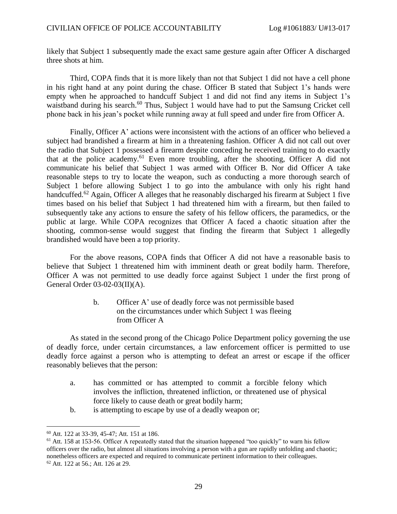likely that Subject 1 subsequently made the exact same gesture again after Officer A discharged three shots at him.

Third, COPA finds that it is more likely than not that Subject 1 did not have a cell phone in his right hand at any point during the chase. Officer B stated that Subject 1's hands were empty when he approached to handcuff Subject 1 and did not find any items in Subject 1's waistband during his search.<sup>60</sup> Thus, Subject 1 would have had to put the Samsung Cricket cell phone back in his jean's pocket while running away at full speed and under fire from Officer A.

Finally, Officer A' actions were inconsistent with the actions of an officer who believed a subject had brandished a firearm at him in a threatening fashion. Officer A did not call out over the radio that Subject 1 possessed a firearm despite conceding he received training to do exactly that at the police academy.<sup>61</sup> Even more troubling, after the shooting, Officer A did not communicate his belief that Subject 1 was armed with Officer B. Nor did Officer A take reasonable steps to try to locate the weapon, such as conducting a more thorough search of Subject 1 before allowing Subject 1 to go into the ambulance with only his right hand handcuffed.<sup>62</sup> Again, Officer A alleges that he reasonably discharged his firearm at Subject 1 five times based on his belief that Subject 1 had threatened him with a firearm, but then failed to subsequently take any actions to ensure the safety of his fellow officers, the paramedics, or the public at large. While COPA recognizes that Officer A faced a chaotic situation after the shooting, common-sense would suggest that finding the firearm that Subject 1 allegedly brandished would have been a top priority.

For the above reasons, COPA finds that Officer A did not have a reasonable basis to believe that Subject 1 threatened him with imminent death or great bodily harm. Therefore, Officer A was not permitted to use deadly force against Subject 1 under the first prong of General Order 03-02-03(II)(A).

> b. Officer A' use of deadly force was not permissible based on the circumstances under which Subject 1 was fleeing from Officer A

As stated in the second prong of the Chicago Police Department policy governing the use of deadly force, under certain circumstances, a law enforcement officer is permitted to use deadly force against a person who is attempting to defeat an arrest or escape if the officer reasonably believes that the person:

- a. has committed or has attempted to commit a forcible felony which involves the infliction, threatened infliction, or threatened use of physical force likely to cause death or great bodily harm;
- b. is attempting to escape by use of a deadly weapon or;

<sup>60</sup> Att. 122 at 33-39, 45-47; Att. 151 at 186.

<sup>&</sup>lt;sup>61</sup> Att. 158 at 153-56. Officer A repeatedly stated that the situation happened "too quickly" to warn his fellow officers over the radio, but almost all situations involving a person with a gun are rapidly unfolding and chaotic; nonetheless officers are expected and required to communicate pertinent information to their colleagues. <sup>62</sup> Att. 122 at 56.; Att. 126 at 29.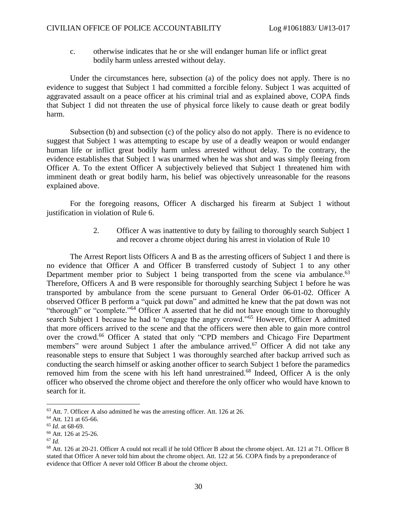c. otherwise indicates that he or she will endanger human life or inflict great bodily harm unless arrested without delay.

Under the circumstances here, subsection (a) of the policy does not apply. There is no evidence to suggest that Subject 1 had committed a forcible felony. Subject 1 was acquitted of aggravated assault on a peace officer at his criminal trial and as explained above, COPA finds that Subject 1 did not threaten the use of physical force likely to cause death or great bodily harm.

Subsection (b) and subsection (c) of the policy also do not apply. There is no evidence to suggest that Subject 1 was attempting to escape by use of a deadly weapon or would endanger human life or inflict great bodily harm unless arrested without delay. To the contrary, the evidence establishes that Subject 1 was unarmed when he was shot and was simply fleeing from Officer A. To the extent Officer A subjectively believed that Subject 1 threatened him with imminent death or great bodily harm, his belief was objectively unreasonable for the reasons explained above.

For the foregoing reasons, Officer A discharged his firearm at Subject 1 without justification in violation of Rule 6.

> 2. Officer A was inattentive to duty by failing to thoroughly search Subject 1 and recover a chrome object during his arrest in violation of Rule 10

The Arrest Report lists Officers A and B as the arresting officers of Subject 1 and there is no evidence that Officer A and Officer B transferred custody of Subject 1 to any other Department member prior to Subject 1 being transported from the scene via ambulance.<sup>63</sup> Therefore, Officers A and B were responsible for thoroughly searching Subject 1 before he was transported by ambulance from the scene pursuant to General Order 06-01-02. Officer A observed Officer B perform a "quick pat down" and admitted he knew that the pat down was not "thorough" or "complete."<sup>64</sup> Officer A asserted that he did not have enough time to thoroughly search Subject 1 because he had to "engage the angry crowd."<sup>65</sup> However, Officer A admitted that more officers arrived to the scene and that the officers were then able to gain more control over the crowd.<sup>66</sup> Officer A stated that only "CPD members and Chicago Fire Department members" were around Subject 1 after the ambulance arrived.<sup>67</sup> Officer A did not take any reasonable steps to ensure that Subject 1 was thoroughly searched after backup arrived such as conducting the search himself or asking another officer to search Subject 1 before the paramedics removed him from the scene with his left hand unrestrained.<sup>68</sup> Indeed, Officer A is the only officer who observed the chrome object and therefore the only officer who would have known to search for it.

<sup>63</sup> Att. 7. Officer A also admitted he was the arresting officer. Att. 126 at 26.

<sup>&</sup>lt;sup>64</sup> Att. 121 at 65-66.

<sup>65</sup> *Id.* at 68-69.

<sup>66</sup> Att. 126 at 25-26.

 $67$  *Id.* 

<sup>68</sup> Att. 126 at 20-21. Officer A could not recall if he told Officer B about the chrome object. Att. 121 at 71. Officer B stated that Officer A never told him about the chrome object. Att. 122 at 56. COPA finds by a preponderance of evidence that Officer A never told Officer B about the chrome object.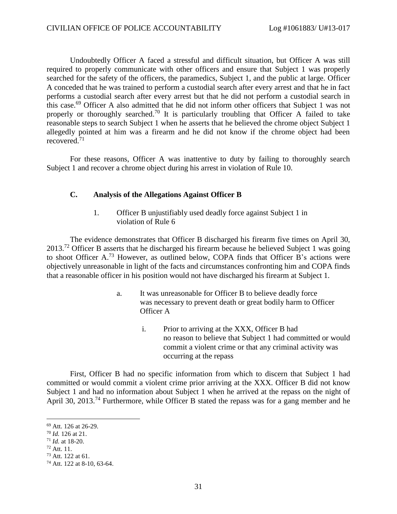Undoubtedly Officer A faced a stressful and difficult situation, but Officer A was still required to properly communicate with other officers and ensure that Subject 1 was properly searched for the safety of the officers, the paramedics, Subject 1, and the public at large. Officer A conceded that he was trained to perform a custodial search after every arrest and that he in fact performs a custodial search after every arrest but that he did not perform a custodial search in this case.<sup>69</sup> Officer A also admitted that he did not inform other officers that Subject 1 was not properly or thoroughly searched.<sup>70</sup> It is particularly troubling that Officer A failed to take reasonable steps to search Subject 1 when he asserts that he believed the chrome object Subject 1 allegedly pointed at him was a firearm and he did not know if the chrome object had been recovered.<sup>71</sup>

For these reasons, Officer A was inattentive to duty by failing to thoroughly search Subject 1 and recover a chrome object during his arrest in violation of Rule 10.

#### **C. Analysis of the Allegations Against Officer B**

1. Officer B unjustifiably used deadly force against Subject 1 in violation of Rule 6

The evidence demonstrates that Officer B discharged his firearm five times on April 30, 2013.<sup>72</sup> Officer B asserts that he discharged his firearm because he believed Subject 1 was going to shoot Officer A. <sup>73</sup> However, as outlined below, COPA finds that Officer B's actions were objectively unreasonable in light of the facts and circumstances confronting him and COPA finds that a reasonable officer in his position would not have discharged his firearm at Subject 1.

- a. It was unreasonable for Officer B to believe deadly force was necessary to prevent death or great bodily harm to Officer Officer A
	- i. Prior to arriving at the XXX, Officer B had no reason to believe that Subject 1 had committed or would commit a violent crime or that any criminal activity was occurring at the repass

First, Officer B had no specific information from which to discern that Subject 1 had committed or would commit a violent crime prior arriving at the XXX. Officer B did not know Subject 1 and had no information about Subject 1 when he arrived at the repass on the night of April 30, 2013.<sup>74</sup> Furthermore, while Officer B stated the repass was for a gang member and he

<sup>69</sup> Att. 126 at 26-29.

<sup>70</sup> *Id.* 126 at 21.

<sup>71</sup> *Id.* at 18-20.

<sup>72</sup> Att. 11.

 $73$  Att. 122 at 61.

<sup>74</sup> Att. 122 at 8-10, 63-64.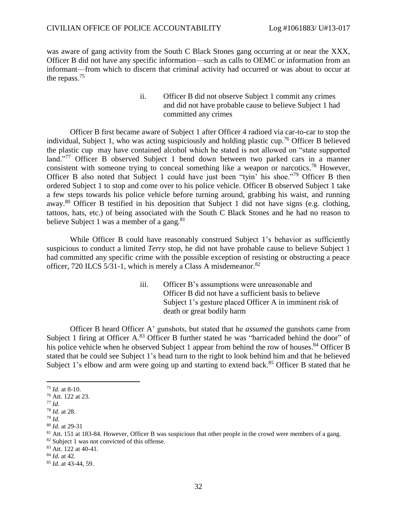was aware of gang activity from the South C Black Stones gang occurring at or near the XXX, Officer B did not have any specific information—such as calls to OEMC or information from an informant—from which to discern that criminal activity had occurred or was about to occur at the repass.<sup>75</sup>

> ii. Officer B did not observe Subject 1 commit any crimes and did not have probable cause to believe Subject 1 had committed any crimes

Officer B first became aware of Subject 1 after Officer 4 radioed via car-to-car to stop the individual, Subject 1, who was acting suspiciously and holding plastic cup.<sup>76</sup> Officer B believed the plastic cup may have contained alcohol which he stated is not allowed on "state supported land."<sup>77</sup> Officer B observed Subject 1 bend down between two parked cars in a manner consistent with someone trying to conceal something like a weapon or narcotics.<sup>78</sup> However, Officer B also noted that Subject 1 could have just been "tyin' his shoe."<sup>79</sup> Officer B then ordered Subject 1 to stop and come over to his police vehicle. Officer B observed Subject 1 take a few steps towards his police vehicle before turning around, grabbing his waist, and running away.<sup>80</sup> Officer B testified in his deposition that Subject 1 did not have signs (e.g. clothing, tattoos, hats, etc.) of being associated with the South C Black Stones and he had no reason to believe Subject 1 was a member of a gang. $81$ 

While Officer B could have reasonably construed Subject 1's behavior as sufficiently suspicious to conduct a limited *Terry* stop, he did not have probable cause to believe Subject 1 had committed any specific crime with the possible exception of resisting or obstructing a peace officer, 720 ILCS 5/31-1, which is merely a Class A misdemeanor.<sup>82</sup>

> iii. Officer B's assumptions were unreasonable and Officer B did not have a sufficient basis to believe Subject 1's gesture placed Officer A in imminent risk of death or great bodily harm

Officer B heard Officer A' gunshots, but stated that he *assumed* the gunshots came from Subject 1 firing at Officer A. $83$  Officer B further stated he was "barricaded behind the door" of his police vehicle when he observed Subject 1 appear from behind the row of houses.<sup>84</sup> Officer B stated that he could see Subject 1's head turn to the right to look behind him and that he believed Subject 1's elbow and arm were going up and starting to extend back.<sup>85</sup> Officer B stated that he

<sup>75</sup> *Id.* at 8-10.

<sup>76</sup> Att. 122 at 23.

<sup>77</sup> *Id*.

<sup>78</sup> *Id.* at 28.

<sup>79</sup> *Id.* 

<sup>80</sup> *Id.* at 29-31

<sup>81</sup> Att. 151 at 183-84. However, Officer B was suspicious that other people in the crowd were members of a gang.

<sup>82</sup> Subject 1 was not convicted of this offense.

<sup>83</sup> Att. 122 at 40-41.

<sup>84</sup> *Id.* at 42.

<sup>85</sup> *Id.* at 43-44, 59.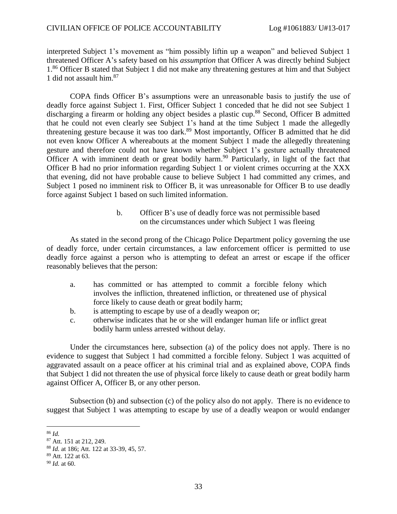interpreted Subject 1's movement as "him possibly liftin up a weapon" and believed Subject 1 threatened Officer A's safety based on his *assumption* that Officer A was directly behind Subject 1.<sup>86</sup> Officer B stated that Subject 1 did not make any threatening gestures at him and that Subject 1 did not assault him. 87

COPA finds Officer B's assumptions were an unreasonable basis to justify the use of deadly force against Subject 1. First, Officer Subject 1 conceded that he did not see Subject 1 discharging a firearm or holding any object besides a plastic cup. <sup>88</sup> Second, Officer B admitted that he could not even clearly see Subject 1's hand at the time Subject 1 made the allegedly threatening gesture because it was too dark.<sup>89</sup> Most importantly, Officer B admitted that he did not even know Officer A whereabouts at the moment Subject 1 made the allegedly threatening gesture and therefore could not have known whether Subject 1's gesture actually threatened Officer A with imminent death or great bodily harm.<sup>90</sup> Particularly, in light of the fact that Officer B had no prior information regarding Subject 1 or violent crimes occurring at the XXX that evening, did not have probable cause to believe Subject 1 had committed any crimes, and Subject 1 posed no imminent risk to Officer B, it was unreasonable for Officer B to use deadly force against Subject 1 based on such limited information.

> b. Officer B's use of deadly force was not permissible based on the circumstances under which Subject 1 was fleeing

As stated in the second prong of the Chicago Police Department policy governing the use of deadly force, under certain circumstances, a law enforcement officer is permitted to use deadly force against a person who is attempting to defeat an arrest or escape if the officer reasonably believes that the person:

- a. has committed or has attempted to commit a forcible felony which involves the infliction, threatened infliction, or threatened use of physical force likely to cause death or great bodily harm;
- b. is attempting to escape by use of a deadly weapon or;
- c. otherwise indicates that he or she will endanger human life or inflict great bodily harm unless arrested without delay.

Under the circumstances here, subsection (a) of the policy does not apply. There is no evidence to suggest that Subject 1 had committed a forcible felony. Subject 1 was acquitted of aggravated assault on a peace officer at his criminal trial and as explained above, COPA finds that Subject 1 did not threaten the use of physical force likely to cause death or great bodily harm against Officer A, Officer B, or any other person.

Subsection (b) and subsection (c) of the policy also do not apply. There is no evidence to suggest that Subject 1 was attempting to escape by use of a deadly weapon or would endanger

<sup>86</sup> *Id.* 

<sup>87</sup> Att. 151 at 212, 249.

<sup>88</sup> *Id.* at 186; Att. 122 at 33-39, 45, 57.

<sup>89</sup> Att. 122 at 63.

<sup>90</sup> *Id.* at 60.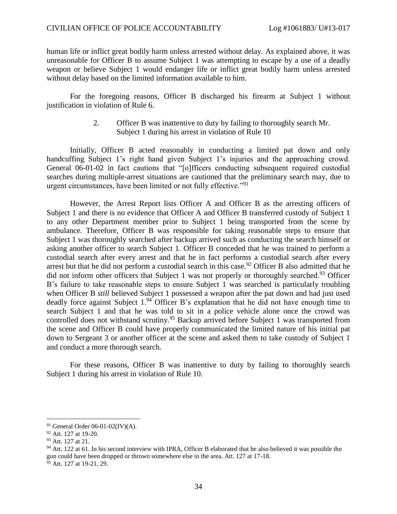human life or inflict great bodily harm unless arrested without delay. As explained above, it was unreasonable for Officer B to assume Subject 1 was attempting to escape by a use of a deadly weapon or believe Subject 1 would endanger life or inflict great bodily harm unless arrested without delay based on the limited information available to him.

For the foregoing reasons, Officer B discharged his firearm at Subject 1 without justification in violation of Rule 6.

> 2. Officer B was inattentive to duty by failing to thoroughly search Mr. Subject 1 during his arrest in violation of Rule 10

Initially, Officer B acted reasonably in conducting a limited pat down and only handcuffing Subject 1's right hand given Subject 1's injuries and the approaching crowd. General 06-01-02 in fact cautions that "[o]fficers conducting subsequent required custodial searches during multiple-arrest situations are cautioned that the preliminary search may, due to urgent circumstances, have been limited or not fully effective."<sup>91</sup>

However, the Arrest Report lists Officer A and Officer B as the arresting officers of Subject 1 and there is no evidence that Officer A and Officer B transferred custody of Subject 1 to any other Department member prior to Subject 1 being transported from the scene by ambulance. Therefore, Officer B was responsible for taking reasonable steps to ensure that Subject 1 was thoroughly searched after backup arrived such as conducting the search himself or asking another officer to search Subject 1. Officer B conceded that he was trained to perform a custodial search after every arrest and that he in fact performs a custodial search after every arrest but that he did not perform a custodial search in this case.<sup>92</sup> Officer B also admitted that he did not inform other officers that Subject 1 was not properly or thoroughly searched.<sup>93</sup> Officer B's failure to take reasonable steps to ensure Subject 1 was searched is particularly troubling when Officer B *still* believed Subject 1 possessed a weapon after the pat down and had just used deadly force against Subject  $1.^{94}$  Officer B's explanation that he did not have enough time to search Subject 1 and that he was told to sit in a police vehicle alone once the crowd was controlled does not withstand scrutiny.<sup>95</sup> Backup arrived before Subject 1 was transported from the scene and Officer B could have properly communicated the limited nature of his initial pat down to Sergeant 3 or another officer at the scene and asked them to take custody of Subject 1 and conduct a more thorough search.

For these reasons, Officer B was inattentive to duty by failing to thoroughly search Subject 1 during his arrest in violation of Rule 10.

<sup>91</sup> General Order 06-01-02(IV)(A).

<sup>92</sup> Att. 127 at 19-20.

<sup>&</sup>lt;sup>93</sup> Att. 127 at 21.

<sup>&</sup>lt;sup>94</sup> Att. 122 at 61. In his second interview with IPRA, Officer B elaborated that he also believed it was possible the gun could have been dropped or thrown somewhere else in the area. Att. 127 at 17-18. <sup>95</sup> Att. 127 at 19-21, 29.